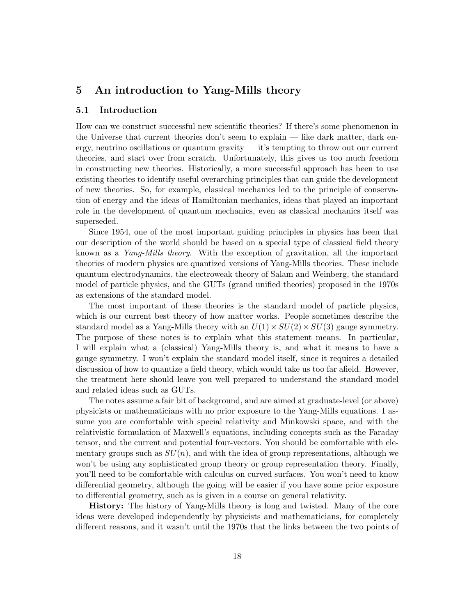# 5 An introduction to Yang-Mills theory

### 5.1 Introduction

How can we construct successful new scientific theories? If there's some phenomenon in the Universe that current theories don't seem to explain — like dark matter, dark energy, neutrino oscillations or quantum gravity  $-$  it's tempting to throw out our current theories, and start over from scratch. Unfortunately, this gives us too much freedom in constructing new theories. Historically, a more successful approach has been to use existing theories to identify useful overarching principles that can guide the development of new theories. So, for example, classical mechanics led to the principle of conservation of energy and the ideas of Hamiltonian mechanics, ideas that played an important role in the development of quantum mechanics, even as classical mechanics itself was superseded.

Since 1954, one of the most important guiding principles in physics has been that our description of the world should be based on a special type of classical field theory known as a Yang-Mills theory. With the exception of gravitation, all the important theories of modern physics are quantized versions of Yang-Mills theories. These include quantum electrodynamics, the electroweak theory of Salam and Weinberg, the standard model of particle physics, and the GUTs (grand unified theories) proposed in the 1970s as extensions of the standard model.

The most important of these theories is the standard model of particle physics, which is our current best theory of how matter works. People sometimes describe the standard model as a Yang-Mills theory with an  $U(1) \times SU(2) \times SU(3)$  gauge symmetry. The purpose of these notes is to explain what this statement means. In particular, I will explain what a (classical) Yang-Mills theory is, and what it means to have a gauge symmetry. I won't explain the standard model itself, since it requires a detailed discussion of how to quantize a field theory, which would take us too far afield. However, the treatment here should leave you well prepared to understand the standard model and related ideas such as GUTs.

The notes assume a fair bit of background, and are aimed at graduate-level (or above) physicists or mathematicians with no prior exposure to the Yang-Mills equations. I assume you are comfortable with special relativity and Minkowski space, and with the relativistic formulation of Maxwell's equations, including concepts such as the Faraday tensor, and the current and potential four-vectors. You should be comfortable with elementary groups such as  $SU(n)$ , and with the idea of group representations, although we won't be using any sophisticated group theory or group representation theory. Finally, you'll need to be comfortable with calculus on curved surfaces. You won't need to know differential geometry, although the going will be easier if you have some prior exposure to differential geometry, such as is given in a course on general relativity.

History: The history of Yang-Mills theory is long and twisted. Many of the core ideas were developed independently by physicists and mathematicians, for completely different reasons, and it wasn't until the 1970s that the links between the two points of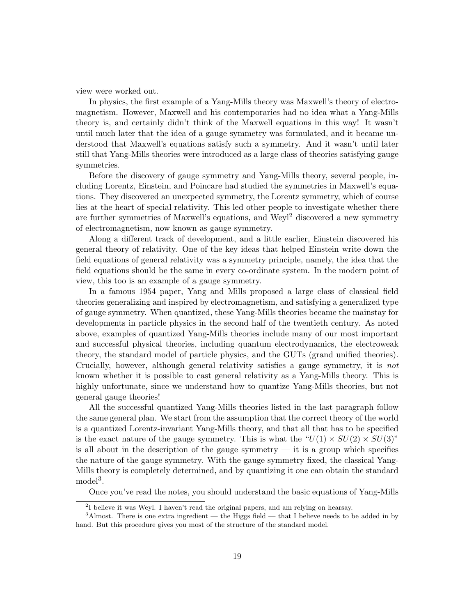view were worked out.

In physics, the first example of a Yang-Mills theory was Maxwell's theory of electromagnetism. However, Maxwell and his contemporaries had no idea what a Yang-Mills theory is, and certainly didn't think of the Maxwell equations in this way! It wasn't until much later that the idea of a gauge symmetry was formulated, and it became understood that Maxwell's equations satisfy such a symmetry. And it wasn't until later still that Yang-Mills theories were introduced as a large class of theories satisfying gauge symmetries.

Before the discovery of gauge symmetry and Yang-Mills theory, several people, including Lorentz, Einstein, and Poincare had studied the symmetries in Maxwell's equations. They discovered an unexpected symmetry, the Lorentz symmetry, which of course lies at the heart of special relativity. This led other people to investigate whether there are further symmetries of Maxwell's equations, and Weyl<sup>2</sup> discovered a new symmetry of electromagnetism, now known as gauge symmetry.

Along a different track of development, and a little earlier, Einstein discovered his general theory of relativity. One of the key ideas that helped Einstein write down the field equations of general relativity was a symmetry principle, namely, the idea that the field equations should be the same in every co-ordinate system. In the modern point of view, this too is an example of a gauge symmetry.

In a famous 1954 paper, Yang and Mills proposed a large class of classical field theories generalizing and inspired by electromagnetism, and satisfying a generalized type of gauge symmetry. When quantized, these Yang-Mills theories became the mainstay for developments in particle physics in the second half of the twentieth century. As noted above, examples of quantized Yang-Mills theories include many of our most important and successful physical theories, including quantum electrodynamics, the electroweak theory, the standard model of particle physics, and the GUTs (grand unified theories). Crucially, however, although general relativity satisfies a gauge symmetry, it is not known whether it is possible to cast general relativity as a Yang-Mills theory. This is highly unfortunate, since we understand how to quantize Yang-Mills theories, but not general gauge theories!

All the successful quantized Yang-Mills theories listed in the last paragraph follow the same general plan. We start from the assumption that the correct theory of the world is a quantized Lorentz-invariant Yang-Mills theory, and that all that has to be specified is the exact nature of the gauge symmetry. This is what the " $U(1) \times SU(2) \times SU(3)$ " is all about in the description of the gauge symmetry  $-$  it is a group which specifies the nature of the gauge symmetry. With the gauge symmetry fixed, the classical Yang-Mills theory is completely determined, and by quantizing it one can obtain the standard model<sup>3</sup>.

Once you've read the notes, you should understand the basic equations of Yang-Mills

<sup>&</sup>lt;sup>2</sup>I believe it was Weyl. I haven't read the original papers, and am relying on hearsay.

 $3$ Almost. There is one extra ingredient — the Higgs field — that I believe needs to be added in by hand. But this procedure gives you most of the structure of the standard model.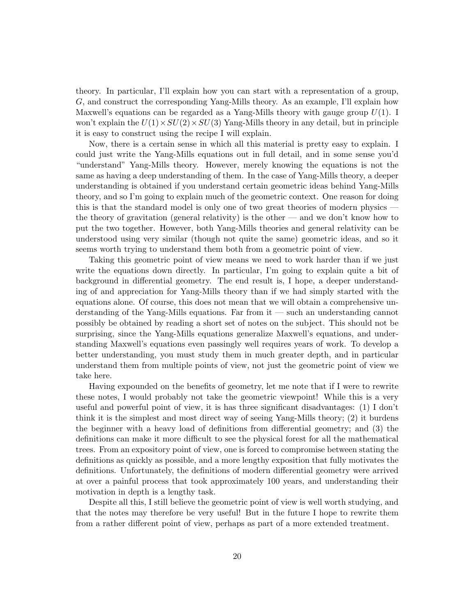theory. In particular, I'll explain how you can start with a representation of a group, G, and construct the corresponding Yang-Mills theory. As an example, I'll explain how Maxwell's equations can be regarded as a Yang-Mills theory with gauge group  $U(1)$ . I won't explain the  $U(1) \times SU(2) \times SU(3)$  Yang-Mills theory in any detail, but in principle it is easy to construct using the recipe I will explain.

Now, there is a certain sense in which all this material is pretty easy to explain. I could just write the Yang-Mills equations out in full detail, and in some sense you'd "understand" Yang-Mills theory. However, merely knowing the equations is not the same as having a deep understanding of them. In the case of Yang-Mills theory, a deeper understanding is obtained if you understand certain geometric ideas behind Yang-Mills theory, and so I'm going to explain much of the geometric context. One reason for doing this is that the standard model is only one of two great theories of modern physics the theory of gravitation (general relativity) is the other — and we don't know how to put the two together. However, both Yang-Mills theories and general relativity can be understood using very similar (though not quite the same) geometric ideas, and so it seems worth trying to understand them both from a geometric point of view.

Taking this geometric point of view means we need to work harder than if we just write the equations down directly. In particular, I'm going to explain quite a bit of background in differential geometry. The end result is, I hope, a deeper understanding of and appreciation for Yang-Mills theory than if we had simply started with the equations alone. Of course, this does not mean that we will obtain a comprehensive understanding of the Yang-Mills equations. Far from it — such an understanding cannot possibly be obtained by reading a short set of notes on the subject. This should not be surprising, since the Yang-Mills equations generalize Maxwell's equations, and understanding Maxwell's equations even passingly well requires years of work. To develop a better understanding, you must study them in much greater depth, and in particular understand them from multiple points of view, not just the geometric point of view we take here.

Having expounded on the benefits of geometry, let me note that if I were to rewrite these notes, I would probably not take the geometric viewpoint! While this is a very useful and powerful point of view, it is has three significant disadvantages: (1) I don't think it is the simplest and most direct way of seeing Yang-Mills theory; (2) it burdens the beginner with a heavy load of definitions from differential geometry; and (3) the definitions can make it more difficult to see the physical forest for all the mathematical trees. From an expository point of view, one is forced to compromise between stating the definitions as quickly as possible, and a more lengthy exposition that fully motivates the definitions. Unfortunately, the definitions of modern differential geometry were arrived at over a painful process that took approximately 100 years, and understanding their motivation in depth is a lengthy task.

Despite all this, I still believe the geometric point of view is well worth studying, and that the notes may therefore be very useful! But in the future I hope to rewrite them from a rather different point of view, perhaps as part of a more extended treatment.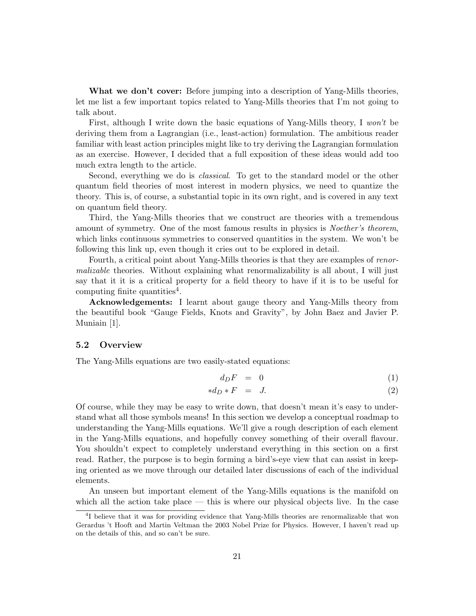What we don't cover: Before jumping into a description of Yang-Mills theories, let me list a few important topics related to Yang-Mills theories that I'm not going to talk about.

First, although I write down the basic equations of Yang-Mills theory, I won't be deriving them from a Lagrangian (i.e., least-action) formulation. The ambitious reader familiar with least action principles might like to try deriving the Lagrangian formulation as an exercise. However, I decided that a full exposition of these ideas would add too much extra length to the article.

Second, everything we do is classical. To get to the standard model or the other quantum field theories of most interest in modern physics, we need to quantize the theory. This is, of course, a substantial topic in its own right, and is covered in any text on quantum field theory.

Third, the Yang-Mills theories that we construct are theories with a tremendous amount of symmetry. One of the most famous results in physics is *Noether's theorem*, which links continuous symmetries to conserved quantities in the system. We won't be following this link up, even though it cries out to be explored in detail.

Fourth, a critical point about Yang-Mills theories is that they are examples of renormalizable theories. Without explaining what renormalizability is all about, I will just say that it it is a critical property for a field theory to have if it is to be useful for computing finite quantities<sup>4</sup>.

Acknowledgements: I learnt about gauge theory and Yang-Mills theory from the beautiful book "Gauge Fields, Knots and Gravity", by John Baez and Javier P. Muniain [1].

# 5.2 Overview

The Yang-Mills equations are two easily-stated equations:

$$
d_D F = 0 \tag{1}
$$

$$
*d_D * F = J. \t\t(2)
$$

Of course, while they may be easy to write down, that doesn't mean it's easy to understand what all those symbols means! In this section we develop a conceptual roadmap to understanding the Yang-Mills equations. We'll give a rough description of each element in the Yang-Mills equations, and hopefully convey something of their overall flavour. You shouldn't expect to completely understand everything in this section on a first read. Rather, the purpose is to begin forming a bird's-eye view that can assist in keeping oriented as we move through our detailed later discussions of each of the individual elements.

An unseen but important element of the Yang-Mills equations is the manifold on which all the action take place — this is where our physical objects live. In the case

<sup>&</sup>lt;sup>4</sup>I believe that it was for providing evidence that Yang-Mills theories are renormalizable that won Gerardus 't Hooft and Martin Veltman the 2003 Nobel Prize for Physics. However, I haven't read up on the details of this, and so can't be sure.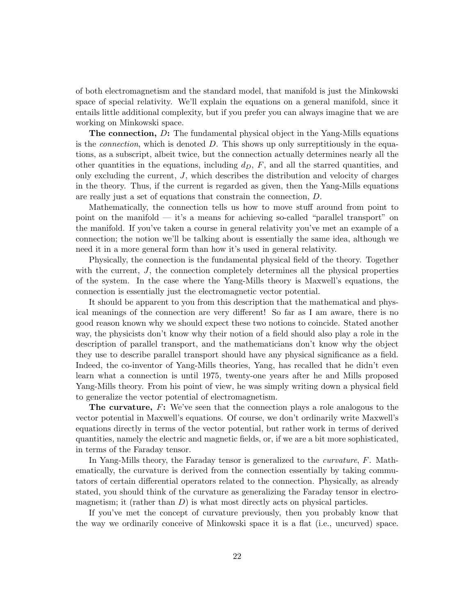of both electromagnetism and the standard model, that manifold is just the Minkowski space of special relativity. We'll explain the equations on a general manifold, since it entails little additional complexity, but if you prefer you can always imagine that we are working on Minkowski space.

The connection, D: The fundamental physical object in the Yang-Mills equations is the *connection*, which is denoted  $D$ . This shows up only surreptitiously in the equations, as a subscript, albeit twice, but the connection actually determines nearly all the other quantities in the equations, including  $d<sub>D</sub>$ ,  $F$ , and all the starred quantities, and only excluding the current,  $J$ , which describes the distribution and velocity of charges in the theory. Thus, if the current is regarded as given, then the Yang-Mills equations are really just a set of equations that constrain the connection, D.

Mathematically, the connection tells us how to move stuff around from point to point on the manifold — it's a means for achieving so-called "parallel transport" on the manifold. If you've taken a course in general relativity you've met an example of a connection; the notion we'll be talking about is essentially the same idea, although we need it in a more general form than how it's used in general relativity.

Physically, the connection is the fundamental physical field of the theory. Together with the current,  $J$ , the connection completely determines all the physical properties of the system. In the case where the Yang-Mills theory is Maxwell's equations, the connection is essentially just the electromagnetic vector potential.

It should be apparent to you from this description that the mathematical and physical meanings of the connection are very different! So far as I am aware, there is no good reason known why we should expect these two notions to coincide. Stated another way, the physicists don't know why their notion of a field should also play a role in the description of parallel transport, and the mathematicians don't know why the object they use to describe parallel transport should have any physical significance as a field. Indeed, the co-inventor of Yang-Mills theories, Yang, has recalled that he didn't even learn what a connection is until 1975, twenty-one years after he and Mills proposed Yang-Mills theory. From his point of view, he was simply writing down a physical field to generalize the vector potential of electromagnetism.

The curvature, F: We've seen that the connection plays a role analogous to the vector potential in Maxwell's equations. Of course, we don't ordinarily write Maxwell's equations directly in terms of the vector potential, but rather work in terms of derived quantities, namely the electric and magnetic fields, or, if we are a bit more sophisticated, in terms of the Faraday tensor.

In Yang-Mills theory, the Faraday tensor is generalized to the curvature, F. Mathematically, the curvature is derived from the connection essentially by taking commutators of certain differential operators related to the connection. Physically, as already stated, you should think of the curvature as generalizing the Faraday tensor in electromagnetism; it (rather than  $D$ ) is what most directly acts on physical particles.

If you've met the concept of curvature previously, then you probably know that the way we ordinarily conceive of Minkowski space it is a flat (i.e., uncurved) space.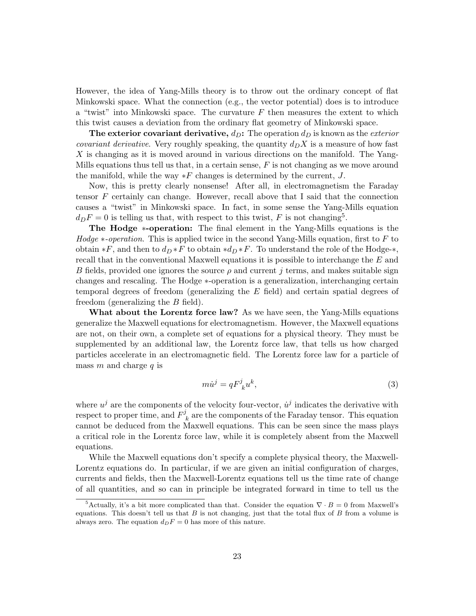However, the idea of Yang-Mills theory is to throw out the ordinary concept of flat Minkowski space. What the connection (e.g., the vector potential) does is to introduce a "twist" into Minkowski space. The curvature  $F$  then measures the extent to which this twist causes a deviation from the ordinary flat geometry of Minkowski space.

The exterior covariant derivative,  $d_D$ : The operation  $d_D$  is known as the *exterior covariant derivative.* Very roughly speaking, the quantity  $d_D X$  is a measure of how fast X is changing as it is moved around in various directions on the manifold. The Yang-Mills equations thus tell us that, in a certain sense,  $F$  is not changing as we move around the manifold, while the way  $*F$  changes is determined by the current, J.

Now, this is pretty clearly nonsense! After all, in electromagnetism the Faraday tensor F certainly can change. However, recall above that I said that the connection causes a "twist" in Minkowski space. In fact, in some sense the Yang-Mills equation  $d_D F = 0$  is telling us that, with respect to this twist, F is not changing<sup>5</sup>.

The Hodge ∗-operation: The final element in the Yang-Mills equations is the Hodge  $*$ -operation. This is applied twice in the second Yang-Mills equation, first to F to obtain \*F, and then to  $d_D * F$  to obtain \* $d_D * F$ . To understand the role of the Hodge-\*, recall that in the conventional Maxwell equations it is possible to interchange the E and B fields, provided one ignores the source  $\rho$  and current j terms, and makes suitable sign changes and rescaling. The Hodge ∗-operation is a generalization, interchanging certain temporal degrees of freedom (generalizing the E field) and certain spatial degrees of freedom (generalizing the  $B$  field).

What about the Lorentz force law? As we have seen, the Yang-Mills equations generalize the Maxwell equations for electromagnetism. However, the Maxwell equations are not, on their own, a complete set of equations for a physical theory. They must be supplemented by an additional law, the Lorentz force law, that tells us how charged particles accelerate in an electromagnetic field. The Lorentz force law for a particle of mass m and charge q is

$$
m\dot{u}^j = qF^j_{\ k}u^k,\tag{3}
$$

where  $u^j$  are the components of the velocity four-vector,  $\dot{u}^j$  indicates the derivative with respect to proper time, and  $F^j$  $k_{k}$  are the components of the Faraday tensor. This equation cannot be deduced from the Maxwell equations. This can be seen since the mass plays a critical role in the Lorentz force law, while it is completely absent from the Maxwell equations.

While the Maxwell equations don't specify a complete physical theory, the Maxwell-Lorentz equations do. In particular, if we are given an initial configuration of charges, currents and fields, then the Maxwell-Lorentz equations tell us the time rate of change of all quantities, and so can in principle be integrated forward in time to tell us the

<sup>&</sup>lt;sup>5</sup>Actually, it's a bit more complicated than that. Consider the equation  $\nabla \cdot B = 0$  from Maxwell's equations. This doesn't tell us that  $B$  is not changing, just that the total flux of  $B$  from a volume is always zero. The equation  $d_D F = 0$  has more of this nature.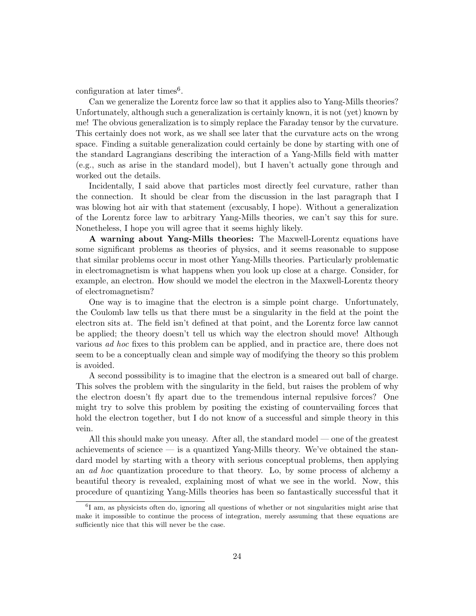configuration at later times<sup>6</sup>.

Can we generalize the Lorentz force law so that it applies also to Yang-Mills theories? Unfortunately, although such a generalization is certainly known, it is not (yet) known by me! The obvious generalization is to simply replace the Faraday tensor by the curvature. This certainly does not work, as we shall see later that the curvature acts on the wrong space. Finding a suitable generalization could certainly be done by starting with one of the standard Lagrangians describing the interaction of a Yang-Mills field with matter (e.g., such as arise in the standard model), but I haven't actually gone through and worked out the details.

Incidentally, I said above that particles most directly feel curvature, rather than the connection. It should be clear from the discussion in the last paragraph that I was blowing hot air with that statement (excusably, I hope). Without a generalization of the Lorentz force law to arbitrary Yang-Mills theories, we can't say this for sure. Nonetheless, I hope you will agree that it seems highly likely.

A warning about Yang-Mills theories: The Maxwell-Lorentz equations have some significant problems as theories of physics, and it seems reasonable to suppose that similar problems occur in most other Yang-Mills theories. Particularly problematic in electromagnetism is what happens when you look up close at a charge. Consider, for example, an electron. How should we model the electron in the Maxwell-Lorentz theory of electromagnetism?

One way is to imagine that the electron is a simple point charge. Unfortunately, the Coulomb law tells us that there must be a singularity in the field at the point the electron sits at. The field isn't defined at that point, and the Lorentz force law cannot be applied; the theory doesn't tell us which way the electron should move! Although various ad hoc fixes to this problem can be applied, and in practice are, there does not seem to be a conceptually clean and simple way of modifying the theory so this problem is avoided.

A second posssibility is to imagine that the electron is a smeared out ball of charge. This solves the problem with the singularity in the field, but raises the problem of why the electron doesn't fly apart due to the tremendous internal repulsive forces? One might try to solve this problem by positing the existing of countervailing forces that hold the electron together, but I do not know of a successful and simple theory in this vein.

All this should make you uneasy. After all, the standard model — one of the greatest achievements of science — is a quantized Yang-Mills theory. We've obtained the standard model by starting with a theory with serious conceptual problems, then applying an ad hoc quantization procedure to that theory. Lo, by some process of alchemy a beautiful theory is revealed, explaining most of what we see in the world. Now, this procedure of quantizing Yang-Mills theories has been so fantastically successful that it

<sup>&</sup>lt;sup>6</sup>I am, as physicists often do, ignoring all questions of whether or not singularities might arise that make it impossible to continue the process of integration, merely assuming that these equations are sufficiently nice that this will never be the case.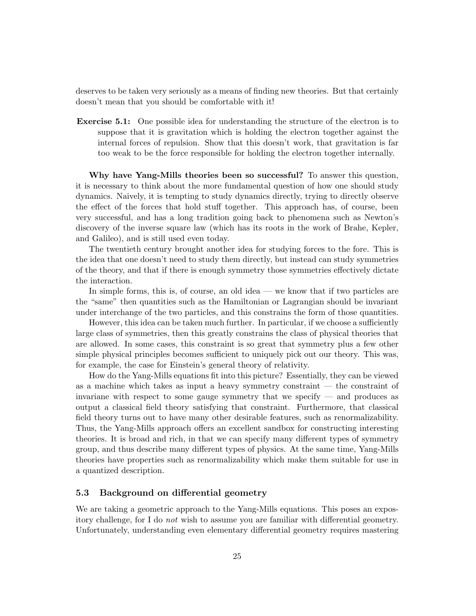deserves to be taken very seriously as a means of finding new theories. But that certainly doesn't mean that you should be comfortable with it!

Exercise 5.1: One possible idea for understanding the structure of the electron is to suppose that it is gravitation which is holding the electron together against the internal forces of repulsion. Show that this doesn't work, that gravitation is far too weak to be the force responsible for holding the electron together internally.

Why have Yang-Mills theories been so successful? To answer this question, it is necessary to think about the more fundamental question of how one should study dynamics. Naively, it is tempting to study dynamics directly, trying to directly observe the effect of the forces that hold stuff together. This approach has, of course, been very successful, and has a long tradition going back to phenomena such as Newton's discovery of the inverse square law (which has its roots in the work of Brahe, Kepler, and Galileo), and is still used even today.

The twentieth century brought another idea for studying forces to the fore. This is the idea that one doesn't need to study them directly, but instead can study symmetries of the theory, and that if there is enough symmetry those symmetries effectively dictate the interaction.

In simple forms, this is, of course, an old idea — we know that if two particles are the "same" then quantities such as the Hamiltonian or Lagrangian should be invariant under interchange of the two particles, and this constrains the form of those quantities.

However, this idea can be taken much further. In particular, if we choose a sufficiently large class of symmetries, then this greatly constrains the class of physical theories that are allowed. In some cases, this constraint is so great that symmetry plus a few other simple physical principles becomes sufficient to uniquely pick out our theory. This was, for example, the case for Einstein's general theory of relativity.

How do the Yang-Mills equations fit into this picture? Essentially, they can be viewed as a machine which takes as input a heavy symmetry constraint — the constraint of invariane with respect to some gauge symmetry that we specify — and produces as output a classical field theory satisfying that constraint. Furthermore, that classical field theory turns out to have many other desirable features, such as renormalizability. Thus, the Yang-Mills approach offers an excellent sandbox for constructing interesting theories. It is broad and rich, in that we can specify many different types of symmetry group, and thus describe many different types of physics. At the same time, Yang-Mills theories have properties such as renormalizability which make them suitable for use in a quantized description.

# 5.3 Background on differential geometry

We are taking a geometric approach to the Yang-Mills equations. This poses an expository challenge, for I do not wish to assume you are familiar with differential geometry. Unfortunately, understanding even elementary differential geometry requires mastering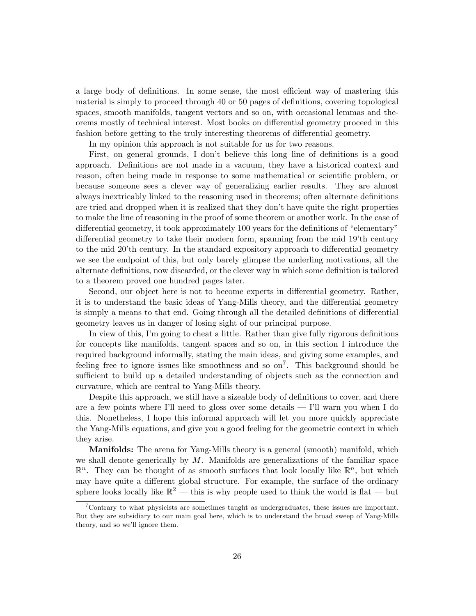a large body of definitions. In some sense, the most efficient way of mastering this material is simply to proceed through 40 or 50 pages of definitions, covering topological spaces, smooth manifolds, tangent vectors and so on, with occasional lemmas and theorems mostly of technical interest. Most books on differential geometry proceed in this fashion before getting to the truly interesting theorems of differential geometry.

In my opinion this approach is not suitable for us for two reasons.

First, on general grounds, I don't believe this long line of definitions is a good approach. Definitions are not made in a vacuum, they have a historical context and reason, often being made in response to some mathematical or scientific problem, or because someone sees a clever way of generalizing earlier results. They are almost always inextricably linked to the reasoning used in theorems; often alternate definitions are tried and dropped when it is realized that they don't have quite the right properties to make the line of reasoning in the proof of some theorem or another work. In the case of differential geometry, it took approximately 100 years for the definitions of "elementary" differential geometry to take their modern form, spanning from the mid 19'th century to the mid 20'th century. In the standard expository approach to differential geometry we see the endpoint of this, but only barely glimpse the underling motivations, all the alternate definitions, now discarded, or the clever way in which some definition is tailored to a theorem proved one hundred pages later.

Second, our object here is not to become experts in differential geometry. Rather, it is to understand the basic ideas of Yang-Mills theory, and the differential geometry is simply a means to that end. Going through all the detailed definitions of differential geometry leaves us in danger of losing sight of our principal purpose.

In view of this, I'm going to cheat a little. Rather than give fully rigorous definitions for concepts like manifolds, tangent spaces and so on, in this section I introduce the required background informally, stating the main ideas, and giving some examples, and feeling free to ignore issues like smoothness and so  $\text{on}^7$ . This background should be sufficient to build up a detailed understanding of objects such as the connection and curvature, which are central to Yang-Mills theory.

Despite this approach, we still have a sizeable body of definitions to cover, and there are a few points where I'll need to gloss over some details — I'll warn you when I do this. Nonetheless, I hope this informal approach will let you more quickly appreciate the Yang-Mills equations, and give you a good feeling for the geometric context in which they arise.

Manifolds: The arena for Yang-Mills theory is a general (smooth) manifold, which we shall denote generically by  $M$ . Manifolds are generalizations of the familiar space  $\mathbb{R}^n$ . They can be thought of as smooth surfaces that look locally like  $\mathbb{R}^n$ , but which may have quite a different global structure. For example, the surface of the ordinary sphere looks locally like  $\mathbb{R}^2$  — this is why people used to think the world is flat — but

<sup>7</sup>Contrary to what physicists are sometimes taught as undergraduates, these issues are important. But they are subsidiary to our main goal here, which is to understand the broad sweep of Yang-Mills theory, and so we'll ignore them.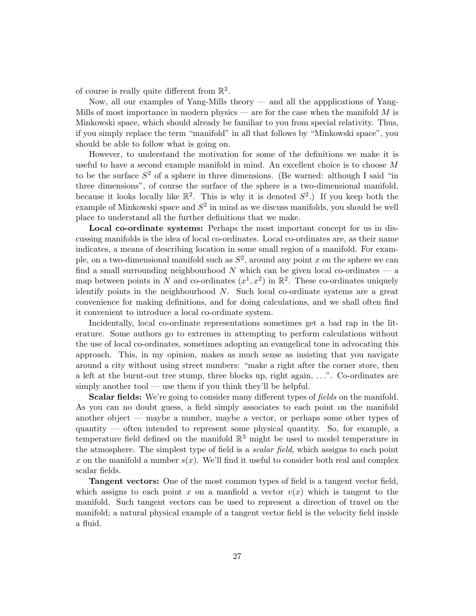of course is really quite different from  $\mathbb{R}^2$ .

Now, all our examples of Yang-Mills theory — and all the appplications of Yang-Mills of most importance in modern physics — are for the case when the manifold  $M$  is Minkowski space, which should already be familiar to you from special relativity. Thus, if you simply replace the term "manifold" in all that follows by "Minkowski space", you should be able to follow what is going on.

However, to understand the motivation for some of the definitions we make it is useful to have a second example manifold in mind. An excellent choice is to choose M to be the surface  $S^2$  of a sphere in three dimensions. (Be warned: although I said "in three dimensions", of course the surface of the sphere is a two-dimensional manifold, because it looks locally like  $\mathbb{R}^2$ . This is why it is denoted  $S^2$ .) If you keep both the example of Minkowski space and  $S^2$  in mind as we discuss manifolds, you should be well place to understand all the further definitions that we make.

Local co-ordinate systems: Perhaps the most important concept for us in discussing manifolds is the idea of local co-ordinates. Local co-ordinates are, as their name indicates, a means of describing location in some small region of a manifold. For example, on a two-dimensional manifold such as  $S^2$ , around any point x on the sphere we can find a small surrounding neighbourhood N which can be given local co-ordinates  $-$  a map between points in N and co-ordinates  $(x^1, x^2)$  in  $\mathbb{R}^2$ . These co-ordinates uniquely identify points in the neighbourhood  $N$ . Such local co-ordinate systems are a great convenience for making definitions, and for doing calculations, and we shall often find it convenient to introduce a local co-ordinate system.

Incidentally, local co-ordinate representations sometimes get a bad rap in the literature. Some authors go to extremes in attempting to perform calculations without the use of local co-ordinates, sometimes adopting an evangelical tone in advocating this approach. This, in my opinion, makes as much sense as insisting that you navigate around a city without using street numbers: "make a right after the corner store, then a left at the burnt-out tree stump, three blocks up, right again, . . .". Co-ordinates are simply another tool — use them if you think they'll be helpful.

Scalar fields: We're going to consider many different types of *fields* on the manifold. As you can no doubt guess, a field simply associates to each point on the manifold another object — maybe a number, maybe a vector, or perhaps some other types of quantity — often intended to represent some physical quantity. So, for example, a temperature field defined on the manifold  $\mathbb{R}^3$  might be used to model temperature in the atmosphere. The simplest type of field is a *scalar field*, which assigns to each point x on the manifold a number  $s(x)$ . We'll find it useful to consider both real and complex scalar fields.

Tangent vectors: One of the most common types of field is a tangent vector field, which assigns to each point x on a manfiold a vector  $v(x)$  which is tangent to the manifold. Such tangent vectors can be used to represent a direction of travel on the manifold; a natural physical example of a tangent vector field is the velocity field inside a fluid.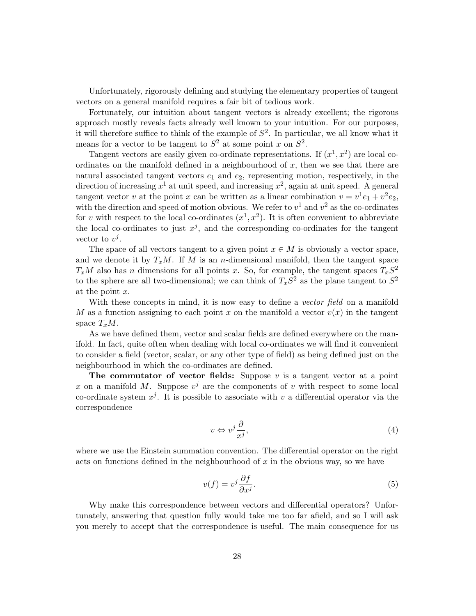Unfortunately, rigorously defining and studying the elementary properties of tangent vectors on a general manifold requires a fair bit of tedious work.

Fortunately, our intuition about tangent vectors is already excellent; the rigorous approach mostly reveals facts already well known to your intuition. For our purposes, it will therefore suffice to think of the example of  $S^2$ . In particular, we all know what it means for a vector to be tangent to  $S^2$  at some point x on  $S^2$ .

Tangent vectors are easily given co-ordinate representations. If  $(x^1, x^2)$  are local coordinates on the manifold defined in a neighbourhood of  $x$ , then we see that there are natural associated tangent vectors  $e_1$  and  $e_2$ , representing motion, respectively, in the direction of increasing  $x^1$  at unit speed, and increasing  $x^2$ , again at unit speed. A general tangent vector v at the point x can be written as a linear combination  $v = v^1 e_1 + v^2 e_2$ , with the direction and speed of motion obvious. We refer to  $v^1$  and  $v^2$  as the co-ordinates for v with respect to the local co-ordinates  $(x^1, x^2)$ . It is often convenient to abbreviate the local co-ordinates to just  $x^j$ , and the corresponding co-ordinates for the tangent vector to  $v^j$ .

The space of all vectors tangent to a given point  $x \in M$  is obviously a vector space, and we denote it by  $T_xM$ . If M is an n-dimensional manifold, then the tangent space  $T_xM$  also has n dimensions for all points x. So, for example, the tangent spaces  $T_xS^2$ to the sphere are all two-dimensional; we can think of  $T_xS^2$  as the plane tangent to  $S^2$ at the point  $x$ .

With these concepts in mind, it is now easy to define a vector field on a manifold M as a function assigning to each point x on the manifold a vector  $v(x)$  in the tangent space  $T_xM$ .

As we have defined them, vector and scalar fields are defined everywhere on the manifold. In fact, quite often when dealing with local co-ordinates we will find it convenient to consider a field (vector, scalar, or any other type of field) as being defined just on the neighbourhood in which the co-ordinates are defined.

The commutator of vector fields: Suppose  $v$  is a tangent vector at a point x on a manifold M. Suppose  $v^j$  are the components of v with respect to some local co-ordinate system  $x^j$ . It is possible to associate with v a differential operator via the correspondence

$$
v \Leftrightarrow v^j \frac{\partial}{x^j},\tag{4}
$$

where we use the Einstein summation convention. The differential operator on the right acts on functions defined in the neighbourhood of  $x$  in the obvious way, so we have

$$
v(f) = v^j \frac{\partial f}{\partial x^j}.
$$
\n(5)

Why make this correspondence between vectors and differential operators? Unfortunately, answering that question fully would take me too far afield, and so I will ask you merely to accept that the correspondence is useful. The main consequence for us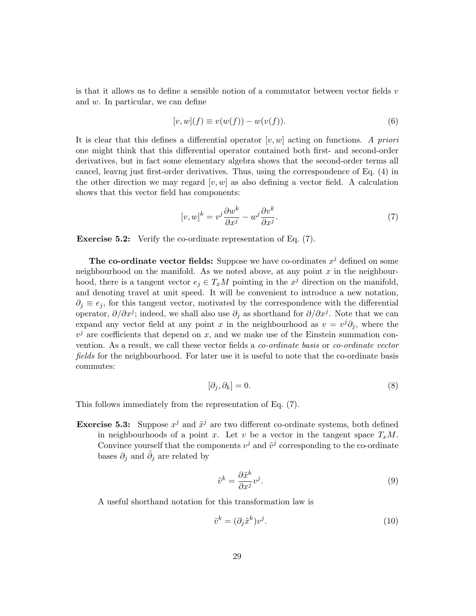is that it allows us to define a sensible notion of a commutator between vector fields  $v$ and  $w$ . In particular, we can define

$$
[v, w](f) \equiv v(w(f)) - w(v(f)).
$$
\n(6)

It is clear that this defines a differential operator  $[v, w]$  acting on functions. A priori one might think that this differential operator contained both first- and second-order derivatives, but in fact some elementary algebra shows that the second-order terms all cancel, leavng just first-order derivatives. Thus, using the correspondence of Eq. (4) in the other direction we may regard  $[v, w]$  as also defining a vector field. A calculation shows that this vector field has components:

$$
[v, w]^k = v^j \frac{\partial w^k}{\partial x^j} - w^j \frac{\partial v^k}{\partial x^j}.
$$
\n<sup>(7)</sup>

Exercise 5.2: Verify the co-ordinate representation of Eq. (7).

The co-ordinate vector fields: Suppose we have co-ordinates  $x^j$  defined on some neighbourhood on the manifold. As we noted above, at any point  $x$  in the neighbourhood, there is a tangent vector  $e_j \in T_xM$  pointing in the  $x^j$  direction on the manifold, and denoting travel at unit speed. It will be convenient to introduce a new notation,  $\partial_i \equiv e_i$ , for this tangent vector, motivated by the correspondence with the differential operator,  $\partial/\partial x^j$ ; indeed, we shall also use  $\partial_j$  as shorthand for  $\partial/\partial x^j$ . Note that we can expand any vector field at any point x in the neighbourhood as  $v = v^j \partial_j$ , where the  $v^j$  are coefficients that depend on x, and we make use of the Einstein summation convention. As a result, we call these vector fields a co-ordinate basis or co-ordinate vector fields for the neighbourhood. For later use it is useful to note that the co-ordinate basis commutes:

$$
[\partial_j, \partial_k] = 0. \tag{8}
$$

This follows immediately from the representation of Eq. (7).

**Exercise 5.3:** Suppose  $x^j$  and  $\tilde{x}^j$  are two different co-ordinate systems, both defined in neighbourhoods of a point x. Let v be a vector in the tangent space  $T_xM$ . Convince yourself that the components  $v^j$  and  $\tilde{v}^j$  corresponding to the co-ordinate bases  $\partial_j$  and  $\tilde{\partial}_j$  are related by

$$
\tilde{v}^k = \frac{\partial \tilde{x}^k}{\partial x^j} v^j.
$$
\n(9)

A useful shorthand notation for this transformation law is

$$
\tilde{v}^k = (\partial_j \tilde{x}^k) v^j. \tag{10}
$$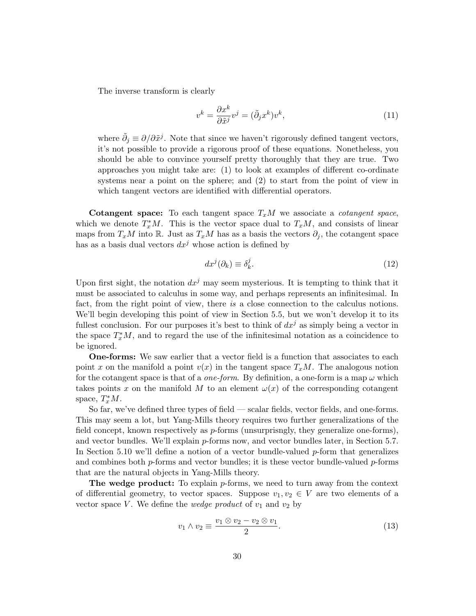The inverse transform is clearly

$$
v^k = \frac{\partial x^k}{\partial \tilde{x}^j} v^j = (\tilde{\partial}_j x^k) v^k,
$$
\n(11)

where  $\tilde{\partial}_j \equiv \partial/\partial \tilde{x}^j$ . Note that since we haven't rigorously defined tangent vectors, it's not possible to provide a rigorous proof of these equations. Nonetheless, you should be able to convince yourself pretty thoroughly that they are true. Two approaches you might take are: (1) to look at examples of different co-ordinate systems near a point on the sphere; and (2) to start from the point of view in which tangent vectors are identified with differential operators.

Cotangent space: To each tangent space  $T_xM$  we associate a *cotangent space*, which we denote  $T_x^*M$ . This is the vector space dual to  $T_xM$ , and consists of linear maps from  $T_xM$  into R. Just as  $T_xM$  has as a basis the vectors  $\partial_j$ , the cotangent space has as a basis dual vectors  $dx^j$  whose action is defined by

$$
dx^j(\partial_k) \equiv \delta_k^j. \tag{12}
$$

Upon first sight, the notation  $dx^j$  may seem mysterious. It is tempting to think that it must be associated to calculus in some way, and perhaps represents an infinitesimal. In fact, from the right point of view, there is a close connection to the calculus notions. We'll begin developing this point of view in Section 5.5, but we won't develop it to its fullest conclusion. For our purposes it's best to think of  $dx^j$  as simply being a vector in the space  $T_x^*M$ , and to regard the use of the infinitesimal notation as a coincidence to be ignored.

One-forms: We saw earlier that a vector field is a function that associates to each point x on the manifold a point  $v(x)$  in the tangent space  $T_xM$ . The analogous notion for the cotangent space is that of a *one-form*. By definition, a one-form is a map  $\omega$  which takes points x on the manifold M to an element  $\omega(x)$  of the corresponding cotangent space,  $T_x^*M$ .

So far, we've defined three types of field — scalar fields, vector fields, and one-forms. This may seem a lot, but Yang-Mills theory requires two further generalizations of the field concept, known respectively as  $p$ -forms (unsurprisngly, they generalize one-forms), and vector bundles. We'll explain  $p$ -forms now, and vector bundles later, in Section 5.7. In Section 5.10 we'll define a notion of a vector bundle-valued  $p$ -form that generalizes and combines both  $p$ -forms and vector bundles; it is these vector bundle-valued  $p$ -forms that are the natural objects in Yang-Mills theory.

The wedge product: To explain *p*-forms, we need to turn away from the context of differential geometry, to vector spaces. Suppose  $v_1, v_2 \in V$  are two elements of a vector space V. We define the *wedge product* of  $v_1$  and  $v_2$  by

$$
v_1 \wedge v_2 \equiv \frac{v_1 \otimes v_2 - v_2 \otimes v_1}{2}.
$$
\n
$$
(13)
$$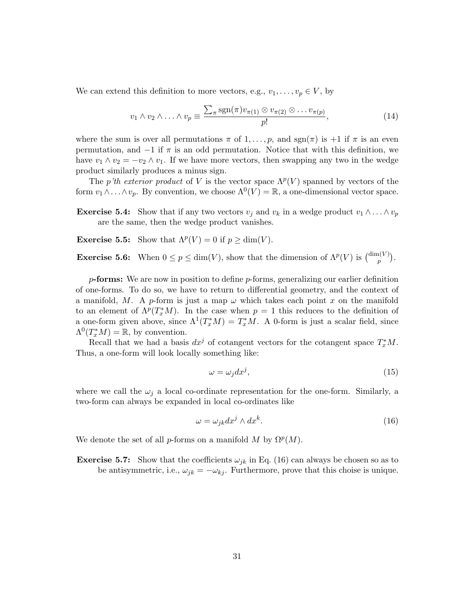We can extend this definition to more vectors, e.g.,  $v_1, \ldots, v_p \in V$ , by

$$
v_1 \wedge v_2 \wedge \ldots \wedge v_p \equiv \frac{\sum_{\pi} \text{sgn}(\pi) v_{\pi(1)} \otimes v_{\pi(2)} \otimes \ldots v_{\pi(p)}}{p!},\tag{14}
$$

where the sum is over all permutations  $\pi$  of  $1, \ldots, p$ , and  $sgn(\pi)$  is  $+1$  if  $\pi$  is an even permutation, and  $-1$  if  $\pi$  is an odd permutation. Notice that with this definition, we have  $v_1 \wedge v_2 = -v_2 \wedge v_1$ . If we have more vectors, then swapping any two in the wedge product similarly produces a minus sign.

The p'th exterior product of V is the vector space  $\Lambda^p(V)$  spanned by vectors of the form  $v_1 \wedge \ldots \wedge v_p$ . By convention, we choose  $\Lambda^0(V) = \mathbb{R}$ , a one-dimensional vector space.

- **Exercise 5.4:** Show that if any two vectors  $v_j$  and  $v_k$  in a wedge product  $v_1 \wedge \ldots \wedge v_p$ are the same, then the wedge product vanishes.
- **Exercise 5.5:** Show that  $\Lambda^p(V) = 0$  if  $p \ge \dim(V)$ .

**Exercise 5.6:** When  $0 \le p \le \dim(V)$ , show that the dimension of  $\Lambda^p(V)$  is  $\binom{\dim(V)}{n}$  $\binom{p(V)}{p}$ .

 $p$ -forms: We are now in position to define  $p$ -forms, generalizing our earlier definition of one-forms. To do so, we have to return to differential geometry, and the context of a manifold, M. A p-form is just a map  $\omega$  which takes each point x on the manifold to an element of  $\Lambda^p(T^*_xM)$ . In the case when  $p=1$  this reduces to the definition of a one-form given above, since  $\Lambda^1(T^*_xM) = T^*_xM$ . A 0-form is just a scalar field, since  $\Lambda^0(T^*_xM) = \mathbb{R}$ , by convention.

Recall that we had a basis  $dx^j$  of cotangent vectors for the cotangent space  $T_x^*M$ . Thus, a one-form will look locally something like:

$$
\omega = \omega_j dx^j,\tag{15}
$$

where we call the  $\omega_i$  a local co-ordinate representation for the one-form. Similarly, a two-form can always be expanded in local co-ordinates like

$$
\omega = \omega_{jk} dx^j \wedge dx^k. \tag{16}
$$

We denote the set of all p-forms on a manifold M by  $\Omega^p(M)$ .

**Exercise 5.7:** Show that the coefficients  $\omega_{jk}$  in Eq. (16) can always be chosen so as to be antisymmetric, i.e.,  $\omega_{jk} = -\omega_{kj}$ . Furthermore, prove that this choise is unique.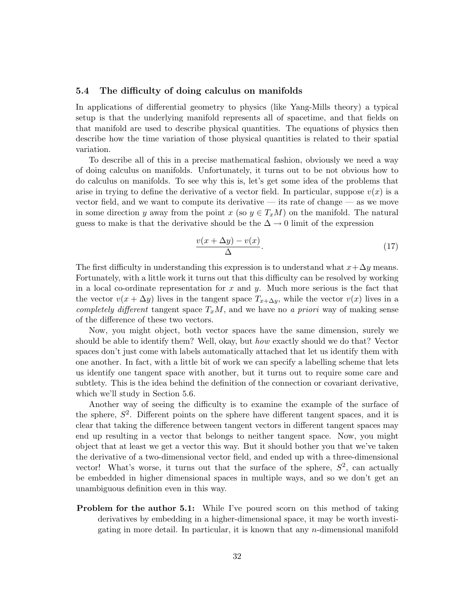#### 5.4 The difficulty of doing calculus on manifolds

In applications of differential geometry to physics (like Yang-Mills theory) a typical setup is that the underlying manifold represents all of spacetime, and that fields on that manifold are used to describe physical quantities. The equations of physics then describe how the time variation of those physical quantities is related to their spatial variation.

To describe all of this in a precise mathematical fashion, obviously we need a way of doing calculus on manifolds. Unfortunately, it turns out to be not obvious how to do calculus on manifolds. To see why this is, let's get some idea of the problems that arise in trying to define the derivative of a vector field. In particular, suppose  $v(x)$  is a vector field, and we want to compute its derivative — its rate of change — as we move in some direction y away from the point x (so  $y \in T_xM$ ) on the manifold. The natural guess to make is that the derivative should be the  $\Delta \rightarrow 0$  limit of the expression

$$
\frac{v(x + \Delta y) - v(x)}{\Delta}.
$$
\n(17)

The first difficulty in understanding this expression is to understand what  $x + \Delta y$  means. Fortunately, with a little work it turns out that this difficulty can be resolved by working in a local co-ordinate representation for x and y. Much more serious is the fact that the vector  $v(x + \Delta y)$  lives in the tangent space  $T_{x+\Delta y}$ , while the vector  $v(x)$  lives in a completely different tangent space  $T_xM$ , and we have no a priori way of making sense of the difference of these two vectors.

Now, you might object, both vector spaces have the same dimension, surely we should be able to identify them? Well, okay, but how exactly should we do that? Vector spaces don't just come with labels automatically attached that let us identify them with one another. In fact, with a little bit of work we can specify a labelling scheme that lets us identify one tangent space with another, but it turns out to require some care and subtlety. This is the idea behind the definition of the connection or covariant derivative, which we'll study in Section 5.6.

Another way of seeing the difficulty is to examine the example of the surface of the sphere,  $S^2$ . Different points on the sphere have different tangent spaces, and it is clear that taking the difference between tangent vectors in different tangent spaces may end up resulting in a vector that belongs to neither tangent space. Now, you might object that at least we get a vector this way. But it should bother you that we've taken the derivative of a two-dimensional vector field, and ended up with a three-dimensional vector! What's worse, it turns out that the surface of the sphere,  $S^2$ , can actually be embedded in higher dimensional spaces in multiple ways, and so we don't get an unambiguous definition even in this way.

**Problem for the author 5.1:** While I've poured scorn on this method of taking derivatives by embedding in a higher-dimensional space, it may be worth investigating in more detail. In particular, it is known that any  $n$ -dimensional manifold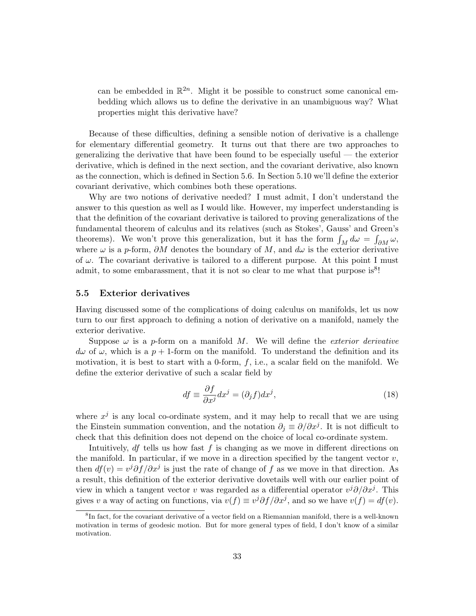can be embedded in  $\mathbb{R}^{2n}$ . Might it be possible to construct some canonical embedding which allows us to define the derivative in an unambiguous way? What properties might this derivative have?

Because of these difficulties, defining a sensible notion of derivative is a challenge for elementary differential geometry. It turns out that there are two approaches to generalizing the derivative that have been found to be especially useful — the exterior derivative, which is defined in the next section, and the covariant derivative, also known as the connection, which is defined in Section 5.6. In Section 5.10 we'll define the exterior covariant derivative, which combines both these operations.

Why are two notions of derivative needed? I must admit, I don't understand the answer to this question as well as I would like. However, my imperfect understanding is that the definition of the covariant derivative is tailored to proving generalizations of the fundamental theorem of calculus and its relatives (such as Stokes', Gauss' and Green's theorems). We won't prove this generalization, but it has the form  $\int_M d\omega = \int_{\partial M} \omega$ , where  $\omega$  is a p-form,  $\partial M$  denotes the boundary of M, and  $d\omega$  is the exterior derivative of  $\omega$ . The covariant derivative is tailored to a different purpose. At this point I must admit, to some embarassment, that it is not so clear to me what that purpose is $8!$ 

#### 5.5 Exterior derivatives

Having discussed some of the complications of doing calculus on manifolds, let us now turn to our first approach to defining a notion of derivative on a manifold, namely the exterior derivative.

Suppose  $\omega$  is a p-form on a manifold M. We will define the *exterior derivative*  $d\omega$  of  $\omega$ , which is a  $p + 1$ -form on the manifold. To understand the definition and its motivation, it is best to start with a 0-form,  $f$ , i.e., a scalar field on the manifold. We define the exterior derivative of such a scalar field by

$$
df \equiv \frac{\partial f}{\partial x^j} dx^j = (\partial_j f) dx^j,
$$
\n(18)

where  $x^j$  is any local co-ordinate system, and it may help to recall that we are using the Einstein summation convention, and the notation  $\partial_j \equiv \partial/\partial x^j$ . It is not difficult to check that this definition does not depend on the choice of local co-ordinate system.

Intuitively,  $df$  tells us how fast f is changing as we move in different directions on the manifold. In particular, if we move in a direction specified by the tangent vector  $v$ , then  $df(v) = v^{j}\partial f/\partial x^{j}$  is just the rate of change of f as we move in that direction. As a result, this definition of the exterior derivative dovetails well with our earlier point of view in which a tangent vector v was regarded as a differential operator  $v^j\partial/\partial x^j$ . This gives v a way of acting on functions, via  $v(f) \equiv v^{j} \partial f / \partial x^{j}$ , and so we have  $v(f) = df(v)$ .

<sup>8</sup> In fact, for the covariant derivative of a vector field on a Riemannian manifold, there is a well-known motivation in terms of geodesic motion. But for more general types of field, I don't know of a similar motivation.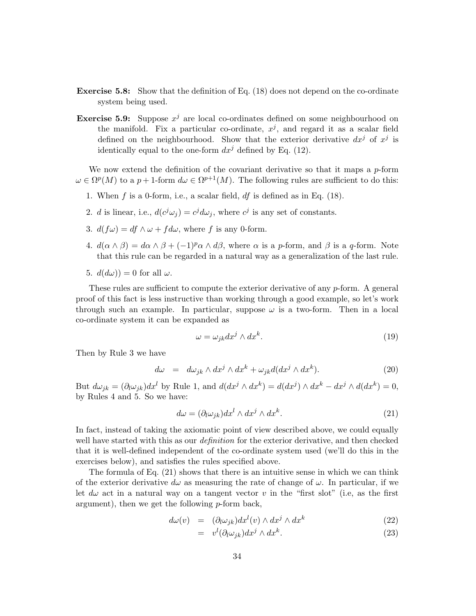- Exercise 5.8: Show that the definition of Eq. (18) does not depend on the co-ordinate system being used.
- **Exercise 5.9:** Suppose  $x^j$  are local co-ordinates defined on some neighbourhood on the manifold. Fix a particular co-ordinate,  $x^j$ , and regard it as a scalar field defined on the neighbourhood. Show that the exterior derivative  $dx^j$  of  $x^j$  is identically equal to the one-form  $dx^j$  defined by Eq. (12).

We now extend the definition of the covariant derivative so that it maps a  $p$ -form  $\omega \in \Omega^p(M)$  to a  $p+1$ -form  $d\omega \in \Omega^{p+1}(M)$ . The following rules are sufficient to do this:

- 1. When  $f$  is a 0-form, i.e., a scalar field,  $df$  is defined as in Eq. (18).
- 2. *d* is linear, i.e.,  $d(c^j \omega_j) = c^j d\omega_j$ , where  $c^j$  is any set of constants.
- 3.  $d(f\omega) = df \wedge \omega + f d\omega$ , where f is any 0-form.
- 4.  $d(\alpha \wedge \beta) = d\alpha \wedge \beta + (-1)^p \alpha \wedge d\beta$ , where  $\alpha$  is a p-form, and  $\beta$  is a q-form. Note that this rule can be regarded in a natural way as a generalization of the last rule.
- 5.  $d(d\omega)$  = 0 for all  $\omega$ .

These rules are sufficient to compute the exterior derivative of any p-form. A general proof of this fact is less instructive than working through a good example, so let's work through such an example. In particular, suppose  $\omega$  is a two-form. Then in a local co-ordinate system it can be expanded as

$$
\omega = \omega_{jk} dx^j \wedge dx^k. \tag{19}
$$

Then by Rule 3 we have

$$
d\omega = d\omega_{jk} \wedge dx^{j} \wedge dx^{k} + \omega_{jk} d(dx^{j} \wedge dx^{k}). \qquad (20)
$$

But  $d\omega_{jk} = (\partial_l \omega_{jk}) dx^l$  by Rule 1, and  $d(dx^j \wedge dx^k) = d(dx^j) \wedge dx^k - dx^j \wedge d(dx^k) = 0$ , by Rules 4 and 5. So we have:

$$
d\omega = (\partial_l \omega_{jk}) dx^l \wedge dx^j \wedge dx^k. \tag{21}
$$

In fact, instead of taking the axiomatic point of view described above, we could equally well have started with this as our *definition* for the exterior derivative, and then checked that it is well-defined independent of the co-ordinate system used (we'll do this in the exercises below), and satisfies the rules specified above.

The formula of Eq. (21) shows that there is an intuitive sense in which we can think of the exterior derivative  $d\omega$  as measuring the rate of change of  $\omega$ . In particular, if we let  $d\omega$  act in a natural way on a tangent vector v in the "first slot" (i.e, as the first argument), then we get the following  $p$ -form back,

$$
d\omega(v) = (\partial_l \omega_{jk}) dx^l(v) \wedge dx^j \wedge dx^k \tag{22}
$$

$$
= v^l(\partial_l \omega_{jk}) dx^j \wedge dx^k. \tag{23}
$$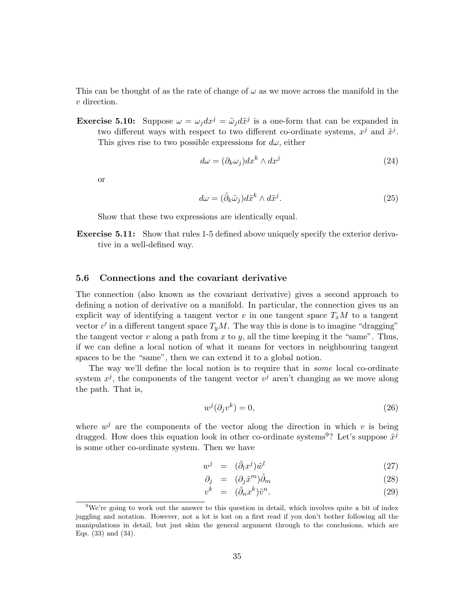This can be thought of as the rate of change of  $\omega$  as we move across the manifold in the v direction.

**Exercise 5.10:** Suppose  $\omega = \omega_j dx^j = \tilde{\omega}_j d\tilde{x}^j$  is a one-form that can be expanded in two different ways with respect to two different co-ordinate systems,  $x^j$  and  $\tilde{x}^j$ . This gives rise to two possible expressions for  $d\omega$ , either

$$
d\omega = (\partial_k \omega_j) dx^k \wedge dx^j \tag{24}
$$

or

$$
d\omega = (\tilde{\partial}_k \tilde{\omega}_j) d\tilde{x}^k \wedge d\tilde{x}^j. \tag{25}
$$

Show that these two expressions are identically equal.

Exercise 5.11: Show that rules 1-5 defined above uniquely specify the exterior derivative in a well-defined way.

### 5.6 Connections and the covariant derivative

The connection (also known as the covariant derivative) gives a second approach to defining a notion of derivative on a manifold. In particular, the connection gives us an explicit way of identifying a tangent vector v in one tangent space  $T_xM$  to a tangent vector  $v'$  in a different tangent space  $T_yM$ . The way this is done is to imagine "dragging" the tangent vector v along a path from x to y, all the time keeping it the "same". Thus, if we can define a local notion of what it means for vectors in neighbouring tangent spaces to be the "same", then we can extend it to a global notion.

The way we'll define the local notion is to require that in some local co-ordinate system  $x^j$ , the components of the tangent vector  $v^j$  aren't changing as we move along the path. That is,

$$
w^j(\partial_j v^k) = 0,\t\t(26)
$$

where  $w^j$  are the components of the vector along the direction in which v is being dragged. How does this equation look in other co-ordinate systems<sup>9</sup>? Let's suppose  $\tilde{x}^j$ is some other co-ordinate system. Then we have

$$
w^j = (\tilde{\partial}_l x^j) \tilde{w}^l \tag{27}
$$

$$
\partial_j = (\partial_j \tilde{x}^m) \tilde{\partial}_m \tag{28}
$$

$$
v^k = (\tilde{\partial}_n x^k) \tilde{v}^n. \tag{29}
$$

 $9\text{We're going to work out the answer to this question in detail, which involves quite a bit of index }$ juggling and notation. However, not a lot is lost on a first read if you don't bother following all the manipulations in detail, but just skim the general argument through to the conclusions, which are Eqs. (33) and (34).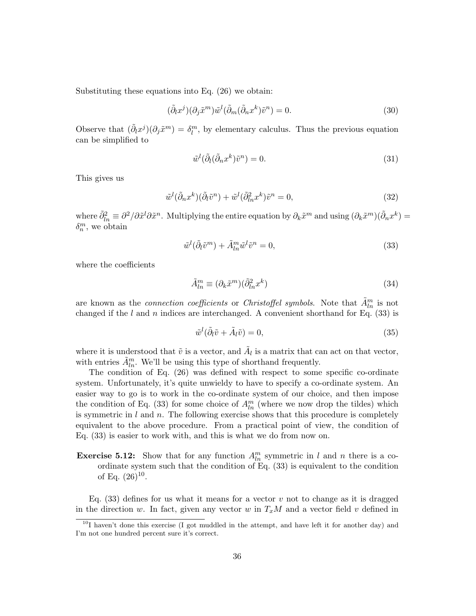Substituting these equations into Eq. (26) we obtain:

$$
(\tilde{\partial}_l x^j)(\partial_j \tilde{x}^m)\tilde{w}^l(\tilde{\partial}_m(\tilde{\partial}_n x^k)\tilde{v}^n) = 0.
$$
\n(30)

Observe that  $(\tilde{\partial}_l x^j)(\partial_j \tilde{x}^m) = \delta_l^m$ , by elementary calculus. Thus the previous equation can be simplified to

$$
\tilde{w}^l(\tilde{\partial}_l(\tilde{\partial}_n x^k)\tilde{v}^n) = 0.
$$
\n(31)

This gives us

$$
\tilde{w}^l(\tilde{\partial}_n x^k)(\tilde{\partial}_l \tilde{v}^n) + \tilde{w}^l(\tilde{\partial}_{ln}^2 x^k)\tilde{v}^n = 0,
$$
\n(32)

where  $\tilde{\partial}_{ln}^2 \equiv \partial^2/\partial \tilde{x}^l \partial \tilde{x}^n$ . Multiplying the entire equation by  $\partial_k \tilde{x}^m$  and using  $(\partial_k \tilde{x}^m)(\tilde{\partial}_n x^k)$  =  $\delta_n^m$ , we obtain

$$
\tilde{w}^l(\tilde{\partial}_l \tilde{v}^m) + \tilde{A}_{ln}^m \tilde{w}^l \tilde{v}^n = 0,
$$
\n(33)

where the coefficients

$$
\tilde{A}_{ln}^{m} \equiv (\partial_k \tilde{x}^m)(\tilde{\partial}_{ln}^2 x^k)
$$
\n(34)

are known as the *connection coefficients* or *Christoffel symbols*. Note that  $\tilde{A}_{ln}^m$  is not changed if the  $l$  and  $n$  indices are interchanged. A convenient shorthand for Eq. (33) is

$$
\tilde{w}^l(\tilde{\partial}_l \tilde{v} + \tilde{A}_l \tilde{v}) = 0,\tag{35}
$$

where it is understood that  $\tilde{v}$  is a vector, and  $\tilde{A}_l$  is a matrix that can act on that vector, with entries  $\tilde{A}_{ln}^m$ . We'll be using this type of shorthand frequently.

The condition of Eq. (26) was defined with respect to some specific co-ordinate system. Unfortunately, it's quite unwieldy to have to specify a co-ordinate system. An easier way to go is to work in the co-ordinate system of our choice, and then impose the condition of Eq. (33) for some choice of  $A_{ln}^{m}$  (where we now drop the tildes) which is symmetric in  $l$  and  $n$ . The following exercise shows that this procedure is completely equivalent to the above procedure. From a practical point of view, the condition of Eq. (33) is easier to work with, and this is what we do from now on.

**Exercise 5.12:** Show that for any function  $A_{ln}^{m}$  symmetric in l and n there is a coordinate system such that the condition of Eq. (33) is equivalent to the condition of Eq.  $(26)^{10}$ .

Eq.  $(33)$  defines for us what it means for a vector v not to change as it is dragged in the direction w. In fact, given any vector w in  $T_xM$  and a vector field v defined in

 $10I$  haven't done this exercise (I got muddled in the attempt, and have left it for another day) and I'm not one hundred percent sure it's correct.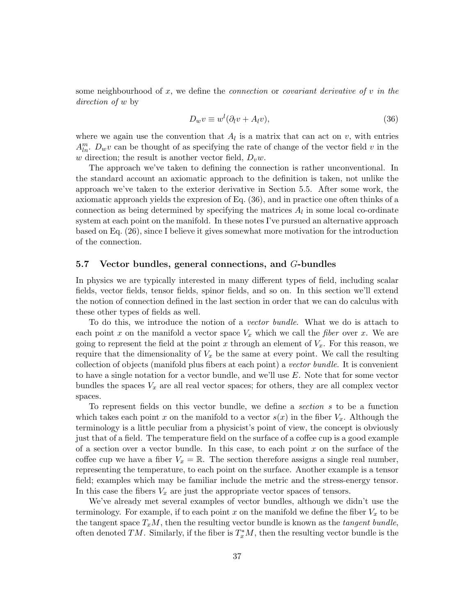some neighbourhood of x, we define the *connection* or *covariant derivative of v in the* direction of w by

$$
D_w v \equiv w^l (\partial_l v + A_l v), \tag{36}
$$

where we again use the convention that  $A_l$  is a matrix that can act on v, with entries  $A_{ln}^m$ .  $D_w v$  can be thought of as specifying the rate of change of the vector field v in the w direction; the result is another vector field,  $D_v w$ .

The approach we've taken to defining the connection is rather unconventional. In the standard account an axiomatic approach to the definition is taken, not unlike the approach we've taken to the exterior derivative in Section 5.5. After some work, the axiomatic approach yields the expresion of Eq. (36), and in practice one often thinks of a connection as being determined by specifying the matrices  $A_l$  in some local co-ordinate system at each point on the manifold. In these notes I've pursued an alternative approach based on Eq. (26), since I believe it gives somewhat more motivation for the introduction of the connection.

# 5.7 Vector bundles, general connections, and G-bundles

In physics we are typically interested in many different types of field, including scalar fields, vector fields, tensor fields, spinor fields, and so on. In this section we'll extend the notion of connection defined in the last section in order that we can do calculus with these other types of fields as well.

To do this, we introduce the notion of a vector bundle. What we do is attach to each point x on the manifold a vector space  $V_x$  which we call the *fiber* over x. We are going to represent the field at the point x through an element of  $V_x$ . For this reason, we require that the dimensionality of  $V_x$  be the same at every point. We call the resulting collection of objects (manifold plus fibers at each point) a vector bundle. It is convenient to have a single notation for a vector bundle, and we'll use E. Note that for some vector bundles the spaces  $V_x$  are all real vector spaces; for others, they are all complex vector spaces.

To represent fields on this vector bundle, we define a section s to be a function which takes each point x on the manifold to a vector  $s(x)$  in the fiber  $V_x$ . Although the terminology is a little peculiar from a physicist's point of view, the concept is obviously just that of a field. The temperature field on the surface of a coffee cup is a good example of a section over a vector bundle. In this case, to each point  $x$  on the surface of the coffee cup we have a fiber  $V_x = \mathbb{R}$ . The section therefore assigns a single real number, representing the temperature, to each point on the surface. Another example is a tensor field; examples which may be familiar include the metric and the stress-energy tensor. In this case the fibers  $V_x$  are just the appropriate vector spaces of tensors.

We've already met several examples of vector bundles, although we didn't use the terminology. For example, if to each point x on the manifold we define the fiber  $V_x$  to be the tangent space  $T_xM$ , then the resulting vector bundle is known as the *tangent bundle*, often denoted TM. Similarly, if the fiber is  $T_x^*M$ , then the resulting vector bundle is the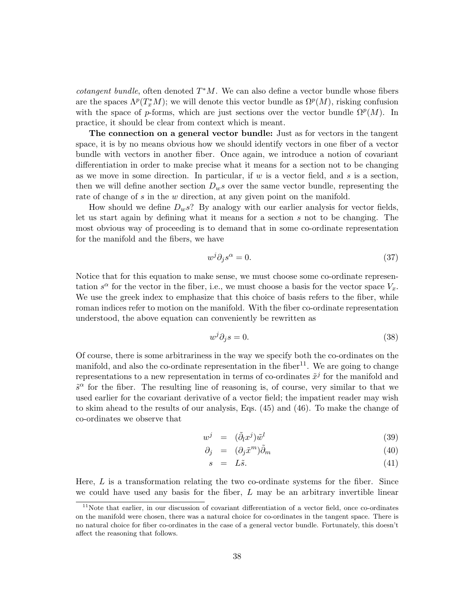*cotangent bundle*, often denoted  $T^*M$ . We can also define a vector bundle whose fibers are the spaces  $\Lambda^p(T^*_xM)$ ; we will denote this vector bundle as  $\Omega^p(M)$ , risking confusion with the space of p-forms, which are just sections over the vector bundle  $\Omega^p(M)$ . In practice, it should be clear from context which is meant.

The connection on a general vector bundle: Just as for vectors in the tangent space, it is by no means obvious how we should identify vectors in one fiber of a vector bundle with vectors in another fiber. Once again, we introduce a notion of covariant differentiation in order to make precise what it means for a section not to be changing as we move in some direction. In particular, if  $w$  is a vector field, and  $s$  is a section, then we will define another section  $D_w s$  over the same vector bundle, representing the rate of change of s in the w direction, at any given point on the manifold.

How should we define  $D_w s$ ? By analogy with our earlier analysis for vector fields, let us start again by defining what it means for a section s not to be changing. The most obvious way of proceeding is to demand that in some co-ordinate representation for the manifold and the fibers, we have

$$
w^j \partial_j s^\alpha = 0. \tag{37}
$$

Notice that for this equation to make sense, we must choose some co-ordinate representation  $s^{\alpha}$  for the vector in the fiber, i.e., we must choose a basis for the vector space  $V_x$ . We use the greek index to emphasize that this choice of basis refers to the fiber, while roman indices refer to motion on the manifold. With the fiber co-ordinate representation understood, the above equation can conveniently be rewritten as

$$
w^j \partial_j s = 0. \tag{38}
$$

Of course, there is some arbitrariness in the way we specify both the co-ordinates on the manifold, and also the co-ordinate representation in the fiber<sup>11</sup>. We are going to change representations to a new representation in terms of co-ordinates  $\tilde{x}^j$  for the manifold and  $\tilde{s}^{\alpha}$  for the fiber. The resulting line of reasoning is, of course, very similar to that we used earlier for the covariant derivative of a vector field; the impatient reader may wish to skim ahead to the results of our analysis, Eqs. (45) and (46). To make the change of co-ordinates we observe that

$$
w^j = (\tilde{\partial}_l x^j) \tilde{w}^l \tag{39}
$$

$$
\partial_j = (\partial_j \tilde{x}^m) \tilde{\partial}_m \tag{40}
$$

$$
s = L\tilde{s}.\tag{41}
$$

Here,  $L$  is a transformation relating the two co-ordinate systems for the fiber. Since we could have used any basis for the fiber,  $L$  may be an arbitrary invertible linear

<sup>&</sup>lt;sup>11</sup>Note that earlier, in our discussion of covariant differentiation of a vector field, once co-ordinates on the manifold were chosen, there was a natural choice for co-ordinates in the tangent space. There is no natural choice for fiber co-ordinates in the case of a general vector bundle. Fortunately, this doesn't affect the reasoning that follows.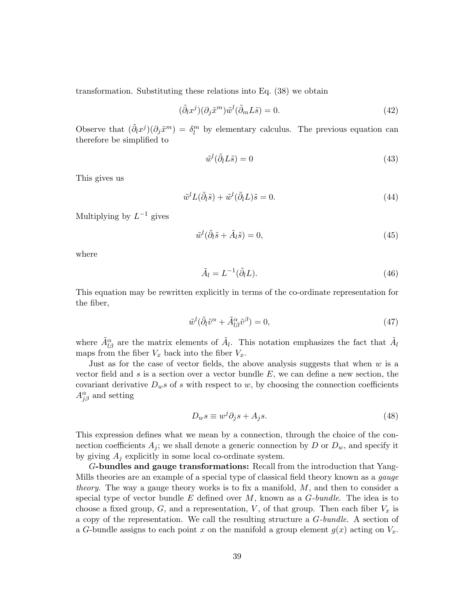transformation. Substituting these relations into Eq. (38) we obtain

$$
(\tilde{\partial}_l x^j)(\partial_j \tilde{x}^m)\tilde{w}^l(\tilde{\partial}_m L \tilde{s}) = 0.
$$
\n(42)

Observe that  $(\tilde{\partial}_l x^j)(\partial_j \tilde{x}^m) = \delta_l^m$  by elementary calculus. The previous equation can therefore be simplified to

$$
\tilde{w}^l(\tilde{\partial}_l L \tilde{s}) = 0\tag{43}
$$

This gives us

$$
\tilde{w}^l L(\tilde{\partial}_l \tilde{s}) + \tilde{w}^l(\tilde{\partial}_l L) \tilde{s} = 0.
$$
\n(44)

Multiplying by  $L^{-1}$  gives

$$
\tilde{w}^l(\tilde{\partial}_l \tilde{s} + \tilde{A}_l \tilde{s}) = 0,\tag{45}
$$

where

$$
\tilde{A}_l = L^{-1}(\tilde{\partial}_l L). \tag{46}
$$

This equation may be rewritten explicitly in terms of the co-ordinate representation for the fiber,

$$
\tilde{w}^l(\tilde{\partial}_l \tilde{v}^\alpha + \tilde{A}_{l\beta}^\alpha \tilde{v}^\beta) = 0,\tag{47}
$$

where  $\tilde{A}_{l\beta}^{\alpha}$  are the matrix elements of  $\tilde{A}_{l}$ . This notation emphasizes the fact that  $\tilde{A}_{l}$ maps from the fiber  $V_x$  back into the fiber  $V_x$ .

Just as for the case of vector fields, the above analysis suggests that when  $w$  is a vector field and s is a section over a vector bundle  $E$ , we can define a new section, the covariant derivative  $D_w s$  of s with respect to w, by choosing the connection coefficients  $A_{j\beta}^{\alpha}$  and setting

$$
D_w s \equiv w^j \partial_j s + A_j s. \tag{48}
$$

This expression defines what we mean by a connection, through the choice of the connection coefficients  $A_i$ ; we shall denote a generic connection by D or  $D_w$ , and specify it by giving  $A_j$  explicitly in some local co-ordinate system.

G-bundles and gauge transformations: Recall from the introduction that Yang-Mills theories are an example of a special type of classical field theory known as a gauge theory. The way a gauge theory works is to fix a manifold,  $M$ , and then to consider a special type of vector bundle E defined over  $M$ , known as a  $G$ -bundle. The idea is to choose a fixed group,  $G$ , and a representation,  $V$ , of that group. Then each fiber  $V_x$  is a copy of the representation. We call the resulting structure a G-bundle. A section of a G-bundle assigns to each point x on the manifold a group element  $g(x)$  acting on  $V_x$ .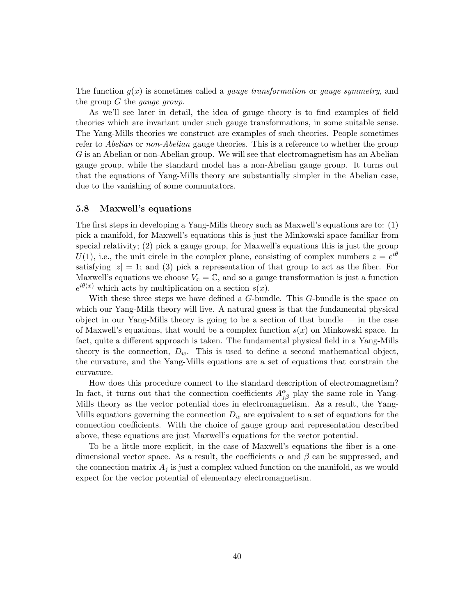The function  $g(x)$  is sometimes called a *gauge transformation* or *gauge symmetry*, and the group  $G$  the *gauge group*.

As we'll see later in detail, the idea of gauge theory is to find examples of field theories which are invariant under such gauge transformations, in some suitable sense. The Yang-Mills theories we construct are examples of such theories. People sometimes refer to *Abelian* or non-*Abelian* gauge theories. This is a reference to whether the group G is an Abelian or non-Abelian group. We will see that electromagnetism has an Abelian gauge group, while the standard model has a non-Abelian gauge group. It turns out that the equations of Yang-Mills theory are substantially simpler in the Abelian case, due to the vanishing of some commutators.

#### 5.8 Maxwell's equations

The first steps in developing a Yang-Mills theory such as Maxwell's equations are to: (1) pick a manifold, for Maxwell's equations this is just the Minkowski space familiar from special relativity; (2) pick a gauge group, for Maxwell's equations this is just the group U(1), i.e., the unit circle in the complex plane, consisting of complex numbers  $z = e^{i\theta}$ satisfying  $|z| = 1$ ; and (3) pick a representation of that group to act as the fiber. For Maxwell's equations we choose  $V_x = \mathbb{C}$ , and so a gauge transformation is just a function  $e^{i\theta(x)}$  which acts by multiplication on a section  $s(x)$ .

With these three steps we have defined a G-bundle. This G-bundle is the space on which our Yang-Mills theory will live. A natural guess is that the fundamental physical object in our Yang-Mills theory is going to be a section of that bundle — in the case of Maxwell's equations, that would be a complex function  $s(x)$  on Minkowski space. In fact, quite a different approach is taken. The fundamental physical field in a Yang-Mills theory is the connection,  $D_w$ . This is used to define a second mathematical object, the curvature, and the Yang-Mills equations are a set of equations that constrain the curvature.

How does this procedure connect to the standard description of electromagnetism? In fact, it turns out that the connection coefficients  $A_{j\beta}^{\alpha}$  play the same role in Yang-Mills theory as the vector potential does in electromagnetism. As a result, the Yang-Mills equations governing the connection  $D_w$  are equivalent to a set of equations for the connection coefficients. With the choice of gauge group and representation described above, these equations are just Maxwell's equations for the vector potential.

To be a little more explicit, in the case of Maxwell's equations the fiber is a onedimensional vector space. As a result, the coefficients  $\alpha$  and  $\beta$  can be suppressed, and the connection matrix  $A_i$  is just a complex valued function on the manifold, as we would expect for the vector potential of elementary electromagnetism.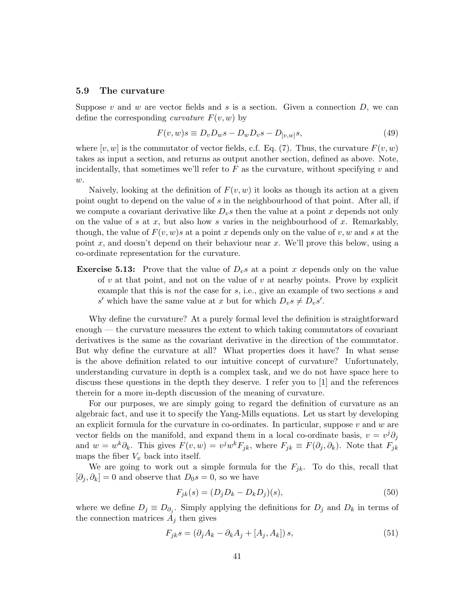#### 5.9 The curvature

Suppose v and w are vector fields and s is a section. Given a connection  $D$ , we can define the corresponding *curvature*  $F(v, w)$  by

$$
F(v, w)s \equiv D_v D_w s - D_w D_v s - D_{[v, w]} s,\tag{49}
$$

where  $[v, w]$  is the commutator of vector fields, c.f. Eq. (7). Thus, the curvature  $F(v, w)$ takes as input a section, and returns as output another section, defined as above. Note, incidentally, that sometimes we'll refer to  $F$  as the curvature, without specifying  $v$  and  $w$ .

Naively, looking at the definition of  $F(v, w)$  it looks as though its action at a given point ought to depend on the value of s in the neighbourhood of that point. After all, if we compute a covariant derivative like  $D_v s$  then the value at a point x depends not only on the value of s at  $x$ , but also how s varies in the neighbourhood of  $x$ . Remarkably, though, the value of  $F(v, w)s$  at a point x depends only on the value of v, w and s at the point x, and doesn't depend on their behaviour near x. We'll prove this below, using a co-ordinate representation for the curvature.

**Exercise 5.13:** Prove that the value of  $D_v s$  at a point x depends only on the value of  $v$  at that point, and not on the value of  $v$  at nearby points. Prove by explicit example that this is *not* the case for  $s$ , i.e., give an example of two sections  $s$  and s' which have the same value at x but for which  $D_v s \neq D_v s'$ .

Why define the curvature? At a purely formal level the definition is straightforward enough — the curvature measures the extent to which taking commutators of covariant derivatives is the same as the covariant derivative in the direction of the commutator. But why define the curvature at all? What properties does it have? In what sense is the above definition related to our intuitive concept of curvature? Unfortunately, understanding curvature in depth is a complex task, and we do not have space here to discuss these questions in the depth they deserve. I refer you to [1] and the references therein for a more in-depth discussion of the meaning of curvature.

For our purposes, we are simply going to regard the definition of curvature as an algebraic fact, and use it to specify the Yang-Mills equations. Let us start by developing an explicit formula for the curvature in co-ordinates. In particular, suppose  $v$  and  $w$  are vector fields on the manifold, and expand them in a local co-ordinate basis,  $v = v^j \partial_j$ and  $w = w^k \partial_k$ . This gives  $F(v, w) = v^j w^k F_{jk}$ , where  $F_{jk} \equiv F(\partial_j, \partial_k)$ . Note that  $F_{jk}$ maps the fiber  $V_x$  back into itself.

We are going to work out a simple formula for the  $F_{jk}$ . To do this, recall that  $[\partial_j, \partial_k] = 0$  and observe that  $D_0 s = 0$ , so we have

$$
F_{jk}(s) = (D_j D_k - D_k D_j)(s),
$$
\n(50)

where we define  $D_j \equiv D_{\partial_j}$ . Simply applying the definitions for  $D_j$  and  $D_k$  in terms of the connection matrices  $A_i$  then gives

$$
F_{jk}s = \left(\partial_j A_k - \partial_k A_j + [A_j, A_k]\right)s,\tag{51}
$$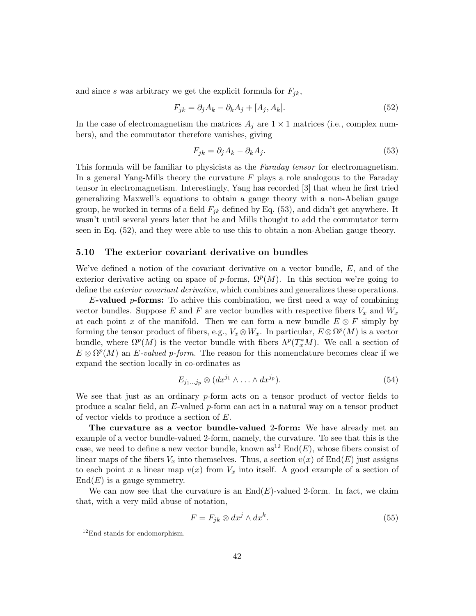and since s was arbitrary we get the explicit formula for  $F_{jk}$ ,

$$
F_{jk} = \partial_j A_k - \partial_k A_j + [A_j, A_k].
$$
\n(52)

In the case of electromagnetism the matrices  $A_i$  are  $1 \times 1$  matrices (i.e., complex numbers), and the commutator therefore vanishes, giving

$$
F_{jk} = \partial_j A_k - \partial_k A_j. \tag{53}
$$

This formula will be familiar to physicists as the *Faraday tensor* for electromagnetism. In a general Yang-Mills theory the curvature  $F$  plays a role analogous to the Faraday tensor in electromagnetism. Interestingly, Yang has recorded [3] that when he first tried generalizing Maxwell's equations to obtain a gauge theory with a non-Abelian gauge group, he worked in terms of a field  $F_{ik}$  defined by Eq. (53), and didn't get anywhere. It wasn't until several years later that he and Mills thought to add the commutator term seen in Eq. (52), and they were able to use this to obtain a non-Abelian gauge theory.

### 5.10 The exterior covariant derivative on bundles

We've defined a notion of the covariant derivative on a vector bundle, E, and of the exterior derivative acting on space of p-forms,  $\Omega^p(M)$ . In this section we're going to define the *exterior covariant derivative*, which combines and generalizes these operations.

E-valued p-forms: To achive this combination, we first need a way of combining vector bundles. Suppose E and F are vector bundles with respective fibers  $V_x$  and  $W_x$ at each point x of the manifold. Then we can form a new bundle  $E \otimes F$  simply by forming the tensor product of fibers, e.g.,  $V_x \otimes W_x$ . In particular,  $E \otimes \Omega^p(M)$  is a vector bundle, where  $\Omega^p(M)$  is the vector bundle with fibers  $\Lambda^p(T^*_xM)$ . We call a section of  $E \otimes \Omega^p(M)$  an E-valued p-form. The reason for this nomenclature becomes clear if we expand the section locally in co-ordinates as

$$
E_{j_1...j_p} \otimes (dx^{j_1} \wedge ... \wedge dx^{j_p}). \tag{54}
$$

We see that just as an ordinary p-form acts on a tensor product of vector fields to produce a scalar field, an E-valued p-form can act in a natural way on a tensor product of vector vields to produce a section of E.

The curvature as a vector bundle-valued 2-form: We have already met an example of a vector bundle-valued 2-form, namely, the curvature. To see that this is the case, we need to define a new vector bundle, known  $as^{12}$  End $(E)$ , whose fibers consist of linear maps of the fibers  $V_x$  into themselves. Thus, a section  $v(x)$  of End(E) just assigns to each point x a linear map  $v(x)$  from  $V_x$  into itself. A good example of a section of  $End(E)$  is a gauge symmetry.

We can now see that the curvature is an  $End(E)$ -valued 2-form. In fact, we claim that, with a very mild abuse of notation,

$$
F = F_{jk} \otimes dx^{j} \wedge dx^{k}.
$$
 (55)

<sup>&</sup>lt;sup>12</sup>End stands for endomorphism.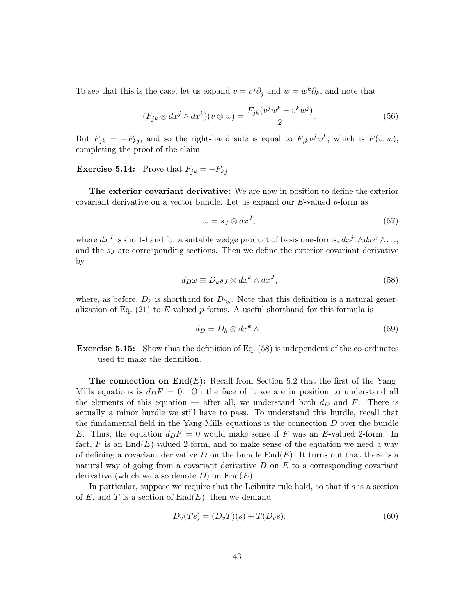To see that this is the case, let us expand  $v = v^j \partial_j$  and  $w = w^k \partial_k$ , and note that

$$
(F_{jk} \otimes dx^j \wedge dx^k)(v \otimes w) = \frac{F_{jk}(v^j w^k - v^k w^j)}{2}.
$$
\n(56)

But  $F_{jk} = -F_{kj}$ , and so the right-hand side is equal to  $F_{jk}v^jw^k$ , which is  $F(v, w)$ , completing the proof of the claim.

**Exercise 5.14:** Prove that  $F_{jk} = -F_{kj}$ .

The exterior covariant derivative: We are now in position to define the exterior covariant derivative on a vector bundle. Let us expand our  $E$ -valued  $p$ -form as

$$
\omega = s_J \otimes dx^J,\tag{57}
$$

where  $dx^J$  is short-hand for a suitable wedge product of basis one-forms,  $dx^{j_1} \wedge dx^{j_2} \wedge \ldots$ , and the  $s_J$  are corresponding sections. Then we define the exterior covariant derivative by

$$
d_{D}\omega \equiv D_{k}s_{J} \otimes dx^{k} \wedge dx^{J}, \qquad (58)
$$

where, as before,  $D_k$  is shorthand for  $D_{\partial_k}$ . Note that this definition is a natural generalization of Eq.  $(21)$  to E-valued p-forms. A useful shorthand for this formula is

$$
d_D = D_k \otimes dx^k \wedge . \tag{59}
$$

Exercise 5.15: Show that the definition of Eq. (58) is independent of the co-ordinates used to make the definition.

**The connection on End** $(E)$ : Recall from Section 5.2 that the first of the Yang-Mills equations is  $d_pF = 0$ . On the face of it we are in position to understand all the elements of this equation — after all, we understand both  $d<sub>D</sub>$  and F. There is actually a minor hurdle we still have to pass. To understand this hurdle, recall that the fundamental field in the Yang-Mills equations is the connection  $D$  over the bundle E. Thus, the equation  $d_D F = 0$  would make sense if F was an E-valued 2-form. In fact, F is an  $End(E)$ -valued 2-form, and to make sense of the equation we need a way of defining a covariant derivative D on the bundle  $\text{End}(E)$ . It turns out that there is a natural way of going from a covariant derivative  $D$  on  $E$  to a corresponding covariant derivative (which we also denote  $D$ ) on  $End(E)$ .

In particular, suppose we require that the Leibnitz rule hold, so that if  $s$  is a section of E, and T is a section of  $End(E)$ , then we demand

$$
D_v(Ts) = (D_v T)(s) + T(D_v s).
$$
\n(60)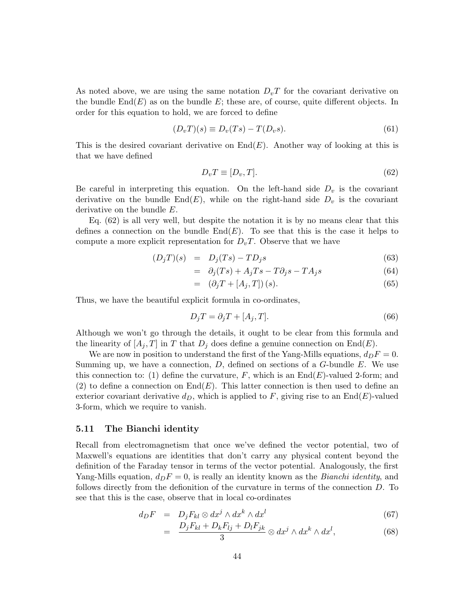As noted above, we are using the same notation  $D_vT$  for the covariant derivative on the bundle  $\text{End}(E)$  as on the bundle E; these are, of course, quite different objects. In order for this equation to hold, we are forced to define

$$
(D_v T)(s) \equiv D_v(Ts) - T(D_v s). \tag{61}
$$

This is the desired covariant derivative on  $\text{End}(E)$ . Another way of looking at this is that we have defined

$$
D_v T \equiv [D_v, T]. \tag{62}
$$

Be careful in interpreting this equation. On the left-hand side  $D<sub>v</sub>$  is the covariant derivative on the bundle  $End(E)$ , while on the right-hand side  $D_v$  is the covariant derivative on the bundle E.

Eq. (62) is all very well, but despite the notation it is by no means clear that this defines a connection on the bundle  $End(E)$ . To see that this is the case it helps to compute a more explicit representation for  $D_vT$ . Observe that we have

$$
(D_j T)(s) = D_j (Ts) - TD_j s \tag{63}
$$

$$
= \partial_j (Ts) + A_j Ts - T \partial_j s - T A_j s \tag{64}
$$

$$
= (\partial_j T + [A_j, T])(s). \tag{65}
$$

Thus, we have the beautiful explicit formula in co-ordinates,

$$
D_j T = \partial_j T + [A_j, T]. \tag{66}
$$

Although we won't go through the details, it ought to be clear from this formula and the linearity of  $[A_j, T]$  in T that  $D_j$  does define a genuine connection on End(E).

We are now in position to understand the first of the Yang-Mills equations,  $d_D F = 0$ . Summing up, we have a connection,  $D$ , defined on sections of a  $G$ -bundle  $E$ . We use this connection to: (1) define the curvature, F, which is an  $End(E)$ -valued 2-form; and (2) to define a connection on  $End(E)$ . This latter connection is then used to define an exterior covariant derivative  $d_D$ , which is applied to F, giving rise to an End(E)-valued 3-form, which we require to vanish.

#### 5.11 The Bianchi identity

Recall from electromagnetism that once we've defined the vector potential, two of Maxwell's equations are identities that don't carry any physical content beyond the definition of the Faraday tensor in terms of the vector potential. Analogously, the first Yang-Mills equation,  $d_D F = 0$ , is really an identity known as the *Bianchi identity*, and follows directly from the defionition of the curvature in terms of the connection D. To see that this is the case, observe that in local co-ordinates

$$
d_D F = D_j F_{kl} \otimes dx^j \wedge dx^k \wedge dx^l \qquad (67)
$$

$$
= \frac{D_j F_{kl} + D_k F_{lj} + D_l F_{jk}}{3} \otimes dx^j \wedge dx^k \wedge dx^l, \tag{68}
$$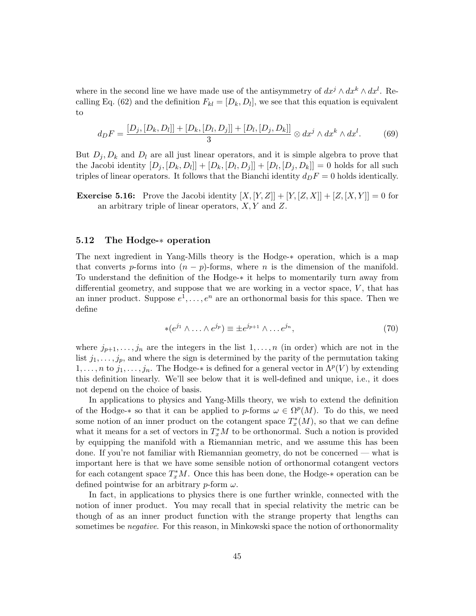where in the second line we have made use of the antisymmetry of  $dx^j \wedge dx^k \wedge dx^l$ . Recalling Eq. (62) and the definition  $F_{kl} = [D_k, D_l]$ , we see that this equation is equivalent to

$$
d_D F = \frac{[D_j, [D_k, D_l]] + [D_k, [D_l, D_j]] + [D_l, [D_j, D_k]]}{3} \otimes dx^j \wedge dx^k \wedge dx^l. \tag{69}
$$

But  $D_i, D_k$  and  $D_l$  are all just linear operators, and it is simple algebra to prove that the Jacobi identity  $[D_j, [D_k, D_l]] + [D_k, [D_l, D_j]] + [D_l, [D_j, D_k]] = 0$  holds for all such triples of linear operators. It follows that the Bianchi identity  $d_D F = 0$  holds identically.

**Exercise 5.16:** Prove the Jacobi identity  $[X, [Y, Z]] + [Y, [Z, X]] + [Z, [X, Y]] = 0$  for an arbitrary triple of linear operators,  $X, Y$  and  $Z$ .

# 5.12 The Hodge-∗ operation

The next ingredient in Yang-Mills theory is the Hodge-∗ operation, which is a map that converts p-forms into  $(n - p)$ -forms, where n is the dimension of the manifold. To understand the definition of the Hodge-∗ it helps to momentarily turn away from differential geometry, and suppose that we are working in a vector space,  $V$ , that has an inner product. Suppose  $e^1, \ldots, e^n$  are an orthonormal basis for this space. Then we define

$$
*(e^{j_1} \wedge \ldots \wedge e^{j_p}) \equiv \pm e^{j_{p+1}} \wedge \ldots e^{j_n},
$$
\n<sup>(70)</sup>

where  $j_{p+1}, \ldots, j_n$  are the integers in the list  $1, \ldots, n$  (in order) which are not in the list  $j_1, \ldots, j_p$ , and where the sign is determined by the parity of the permutation taking  $1, \ldots, n$  to  $j_1, \ldots, j_n$ . The Hodge- $*$  is defined for a general vector in  $\Lambda^p(V)$  by extending this definition linearly. We'll see below that it is well-defined and unique, i.e., it does not depend on the choice of basis.

In applications to physics and Yang-Mills theory, we wish to extend the definition of the Hodge- $*$  so that it can be applied to p-forms  $\omega \in \Omega^p(M)$ . To do this, we need some notion of an inner product on the cotangent space  $T_x^*(M)$ , so that we can define what it means for a set of vectors in  $T_x^*M$  to be orthonormal. Such a notion is provided by equipping the manifold with a Riemannian metric, and we assume this has been done. If you're not familiar with Riemannian geometry, do not be concerned — what is important here is that we have some sensible notion of orthonormal cotangent vectors for each cotangent space  $T_x^*M$ . Once this has been done, the Hodge- $*$  operation can be defined pointwise for an arbitrary  $p$ -form  $\omega$ .

In fact, in applications to physics there is one further wrinkle, connected with the notion of inner product. You may recall that in special relativity the metric can be though of as an inner product function with the strange property that lengths can sometimes be *negative*. For this reason, in Minkowski space the notion of orthonormality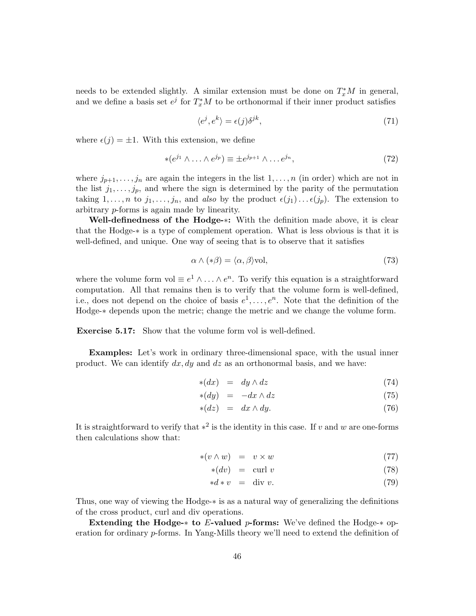needs to be extended slightly. A similar extension must be done on  $T_x^*M$  in general, and we define a basis set  $e^j$  for  $T_x^*M$  to be orthonormal if their inner product satisfies

$$
\langle e^j, e^k \rangle = \epsilon(j)\delta^{jk},\tag{71}
$$

where  $\epsilon(j) = \pm 1$ . With this extension, we define

$$
*(e^{j_1} \wedge \ldots \wedge e^{j_p}) \equiv \pm e^{j_{p+1}} \wedge \ldots e^{j_n}, \qquad (72)
$$

where  $j_{p+1}, \ldots, j_n$  are again the integers in the list  $1, \ldots, n$  (in order) which are not in the list  $j_1, \ldots, j_p$ , and where the sign is determined by the parity of the permutation taking  $1, \ldots, n$  to  $j_1, \ldots, j_n$ , and also by the product  $\epsilon(j_1) \ldots \epsilon(j_p)$ . The extension to arbitrary p-forms is again made by linearity.

Well-definedness of the Hodge-∗: With the definition made above, it is clear that the Hodge-∗ is a type of complement operation. What is less obvious is that it is well-defined, and unique. One way of seeing that is to observe that it satisfies

$$
\alpha \wedge (*\beta) = \langle \alpha, \beta \rangle \text{vol},\tag{73}
$$

where the volume form vol  $\equiv e^1 \wedge \ldots \wedge e^n$ . To verify this equation is a straightforward computation. All that remains then is to verify that the volume form is well-defined, i.e., does not depend on the choice of basis  $e^1, \ldots, e^n$ . Note that the definition of the Hodge-∗ depends upon the metric; change the metric and we change the volume form.

Exercise 5.17: Show that the volume form vol is well-defined.

Examples: Let's work in ordinary three-dimensional space, with the usual inner product. We can identify  $dx, dy$  and  $dz$  as an orthonormal basis, and we have:

$$
\ast(dx) = dy \wedge dz \tag{74}
$$

$$
\ast(dy) = -dx \wedge dz \tag{75}
$$

$$
\ast(dz) = dx \wedge dy. \tag{76}
$$

It is straightforward to verify that  $*^2$  is the identity in this case. If v and w are one-forms then calculations show that:

$$
*(v \wedge w) = v \times w \tag{77}
$$

$$
*(dv) = \operatorname{curl} v \tag{78}
$$

$$
*d*v = \text{div } v. \tag{79}
$$

Thus, one way of viewing the Hodge-∗ is as a natural way of generalizing the definitions of the cross product, curl and div operations.

Extending the Hodge- $*$  to E-valued p-forms: We've defined the Hodge- $*$  operation for ordinary p-forms. In Yang-Mills theory we'll need to extend the definition of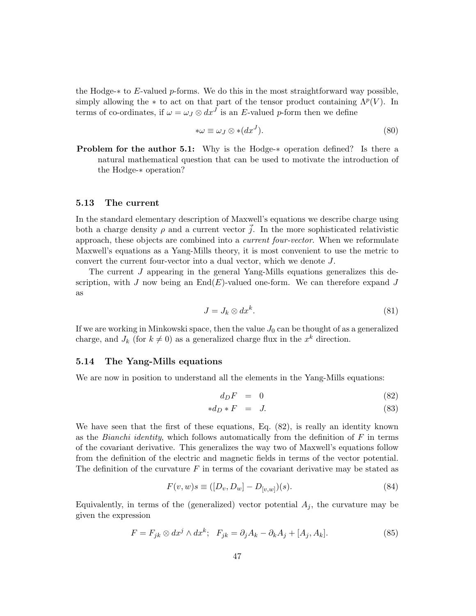the Hodge-∗ to E-valued p-forms. We do this in the most straightforward way possible, simply allowing the  $*$  to act on that part of the tensor product containing  $\Lambda^p(V)$ . In terms of co-ordinates, if  $\omega = \omega_J \otimes dx^J$  is an E-valued p-form then we define

$$
*\omega \equiv \omega_J \otimes * (dx^J). \tag{80}
$$

Problem for the author 5.1: Why is the Hodge-∗ operation defined? Is there a natural mathematical question that can be used to motivate the introduction of the Hodge-∗ operation?

#### 5.13 The current

In the standard elementary description of Maxwell's equations we describe charge using both a charge density  $\rho$  and a current vector  $\vec{j}$ . In the more sophisticated relativistic approach, these objects are combined into a current four-vector. When we reformulate Maxwell's equations as a Yang-Mills theory, it is most convenient to use the metric to convert the current four-vector into a dual vector, which we denote J.

The current J appearing in the general Yang-Mills equations generalizes this description, with J now being an  $\text{End}(E)$ -valued one-form. We can therefore expand J as

$$
J = J_k \otimes dx^k. \tag{81}
$$

If we are working in Minkowski space, then the value  $J_0$  can be thought of as a generalized charge, and  $J_k$  (for  $k \neq 0$ ) as a generalized charge flux in the  $x^k$  direction.

#### 5.14 The Yang-Mills equations

We are now in position to understand all the elements in the Yang-Mills equations:

$$
d_D F = 0 \tag{82}
$$

$$
*d_D * F = J. \t\t(83)
$$

We have seen that the first of these equations, Eq. (82), is really an identity known as the *Bianchi identity*, which follows automatically from the definition of  $F$  in terms of the covariant derivative. This generalizes the way two of Maxwell's equations follow from the definition of the electric and magnetic fields in terms of the vector potential. The definition of the curvature  $F$  in terms of the covariant derivative may be stated as

$$
F(v, w)s \equiv ([D_v, D_w] - D_{[v, w]})(s).
$$
\n(84)

Equivalently, in terms of the (generalized) vector potential  $A_i$ , the curvature may be given the expression

$$
F = F_{jk} \otimes dx^{j} \wedge dx^{k}; \quad F_{jk} = \partial_{j}A_{k} - \partial_{k}A_{j} + [A_{j}, A_{k}]. \tag{85}
$$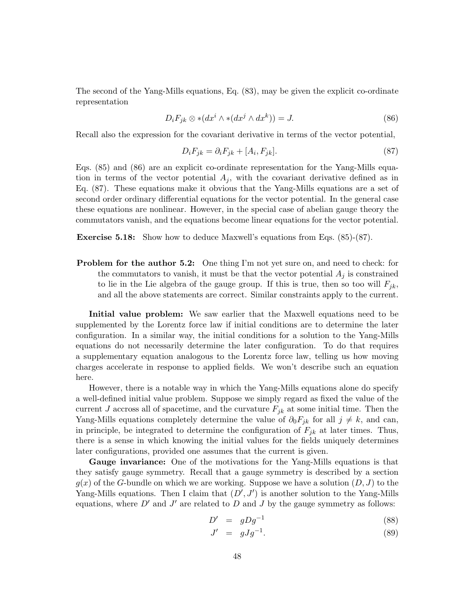The second of the Yang-Mills equations, Eq. (83), may be given the explicit co-ordinate representation

$$
D_i F_{jk} \otimes * (dx^i \wedge * (dx^j \wedge dx^k)) = J. \tag{86}
$$

Recall also the expression for the covariant derivative in terms of the vector potential,

$$
D_i F_{jk} = \partial_i F_{jk} + [A_i, F_{jk}]. \tag{87}
$$

Eqs. (85) and (86) are an explicit co-ordinate representation for the Yang-Mills equation in terms of the vector potential  $A_j$ , with the covariant derivative defined as in Eq. (87). These equations make it obvious that the Yang-Mills equations are a set of second order ordinary differential equations for the vector potential. In the general case these equations are nonlinear. However, in the special case of abelian gauge theory the commutators vanish, and the equations become linear equations for the vector potential.

Exercise 5.18: Show how to deduce Maxwell's equations from Eqs. (85)-(87).

**Problem for the author 5.2:** One thing I'm not yet sure on, and need to check: for the commutators to vanish, it must be that the vector potential  $A_i$  is constrained to lie in the Lie algebra of the gauge group. If this is true, then so too will  $F_{ik}$ , and all the above statements are correct. Similar constraints apply to the current.

Initial value problem: We saw earlier that the Maxwell equations need to be supplemented by the Lorentz force law if initial conditions are to determine the later configuration. In a similar way, the initial conditions for a solution to the Yang-Mills equations do not necessarily determine the later configuration. To do that requires a supplementary equation analogous to the Lorentz force law, telling us how moving charges accelerate in response to applied fields. We won't describe such an equation here.

However, there is a notable way in which the Yang-Mills equations alone do specify a well-defined initial value problem. Suppose we simply regard as fixed the value of the current J accross all of spacetime, and the curvature  $F_{ik}$  at some initial time. Then the Yang-Mills equations completely determine the value of  $\partial_0 F_{jk}$  for all  $j \neq k$ , and can, in principle, be integrated to determine the configuration of  $F_{jk}$  at later times. Thus, there is a sense in which knowing the initial values for the fields uniquely determines later configurations, provided one assumes that the current is given.

Gauge invariance: One of the motivations for the Yang-Mills equations is that they satisfy gauge symmetry. Recall that a gauge symmetry is described by a section  $g(x)$  of the G-bundle on which we are working. Suppose we have a solution  $(D, J)$  to the Yang-Mills equations. Then I claim that  $(D', J')$  is another solution to the Yang-Mills equations, where  $D'$  and  $J'$  are related to  $D$  and  $J$  by the gauge symmetry as follows:

$$
D' = gDg^{-1} \tag{88}
$$

$$
J' = gJg^{-1}.
$$
\n
$$
(89)
$$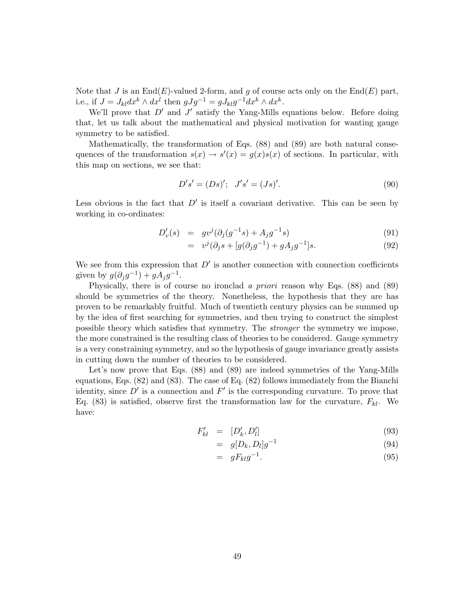Note that J is an End(E)-valued 2-form, and g of course acts only on the  $End(E)$  part, i.e., if  $J = J_{kl} dx^k \wedge dx^l$  then  $gJg^{-1} = gJ_{kl}g^{-1}dx^k \wedge dx^k$ .

We'll prove that  $D'$  and  $J'$  satisfy the Yang-Mills equations below. Before doing that, let us talk about the mathematical and physical motivation for wanting gauge symmetry to be satisfied.

Mathematically, the transformation of Eqs. (88) and (89) are both natural consequences of the transformation  $s(x) \to s'(x) = g(x)s(x)$  of sections. In particular, with this map on sections, we see that:

$$
D's' = (Ds)'; \quad J's' = (Js)'.\tag{90}
$$

Less obvious is the fact that  $D'$  is itself a covariant derivative. This can be seen by working in co-ordinates:

$$
D'_{v}(s) = gv^{j}(\partial_{j}(g^{-1}s) + A_{j}g^{-1}s)
$$
\n(91)

$$
= v^{j}(\partial_{j}s + [g(\partial_{j}g^{-1}) + gA_{j}g^{-1}]s. \tag{92}
$$

We see from this expression that  $D'$  is another connection with connection coefficients given by  $g(\partial_j g^{-1}) + gA_j g^{-1}$ .

Physically, there is of course no ironclad a priori reason why Eqs. (88) and (89) should be symmetries of the theory. Nonetheless, the hypothesis that they are has proven to be remarkably fruitful. Much of twentieth century physics can be summed up by the idea of first searching for symmetries, and then trying to construct the simplest possible theory which satisfies that symmetry. The stronger the symmetry we impose, the more constrained is the resulting class of theories to be considered. Gauge symmetry is a very constraining symmetry, and so the hypothesis of gauge invariance greatly assists in cutting down the number of theories to be considered.

Let's now prove that Eqs. (88) and (89) are indeed symmetries of the Yang-Mills equations, Eqs. (82) and (83). The case of Eq. (82) follows immediately from the Bianchi identity, since  $D'$  is a connection and  $F'$  is the corresponding curvature. To prove that Eq. (83) is satisfied, observe first the transformation law for the curvature,  $F_{kl}$ . We have:

$$
F'_{kl} = [D'_k, D'_l] \tag{93}
$$

$$
= g[D_k, D_l]g^{-1} \tag{94}
$$

$$
= gF_{kl}g^{-1}.
$$
\n
$$
(95)
$$